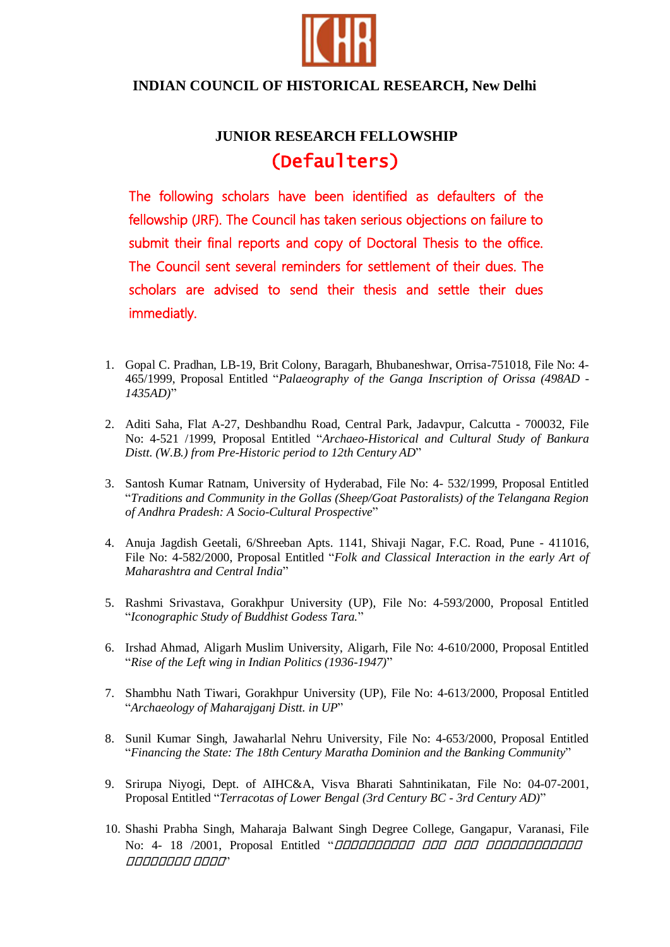

## **INDIAN COUNCIL OF HISTORICAL RESEARCH, New Delhi**

## **JUNIOR RESEARCH FELLOWSHIP** (Defaulters)

The following scholars have been identified as defaulters of the fellowship (JRF). The Council has taken serious objections on failure to submit their final reports and copy of Doctoral Thesis to the office. The Council sent several reminders for settlement of their dues. The scholars are advised to send their thesis and settle their dues immediatly.

- 1. Gopal C. Pradhan, LB-19, Brit Colony, Baragarh, Bhubaneshwar, Orrisa-751018, File No: 4- 465/1999, Proposal Entitled "*Palaeography of the Ganga Inscription of Orissa (498AD - 1435AD)*"
- 2. Aditi Saha, Flat A-27, Deshbandhu Road, Central Park, Jadavpur, Calcutta 700032, File No: 4-521 /1999, Proposal Entitled "*Archaeo-Historical and Cultural Study of Bankura Distt. (W.B.) from Pre-Historic period to 12th Century AD*"
- 3. Santosh Kumar Ratnam, University of Hyderabad, File No: 4- 532/1999, Proposal Entitled "*Traditions and Community in the Gollas (Sheep/Goat Pastoralists) of the Telangana Region of Andhra Pradesh: A Socio-Cultural Prospective*"
- 4. Anuja Jagdish Geetali, 6/Shreeban Apts. 1141, Shivaji Nagar, F.C. Road, Pune 411016, File No: 4-582/2000, Proposal Entitled "*Folk and Classical Interaction in the early Art of Maharashtra and Central India*"
- 5. Rashmi Srivastava, Gorakhpur University (UP), File No: 4-593/2000, Proposal Entitled "*Iconographic Study of Buddhist Godess Tara.*"
- 6. Irshad Ahmad, Aligarh Muslim University, Aligarh, File No: 4-610/2000, Proposal Entitled "*Rise of the Left wing in Indian Politics (1936-1947)*"
- 7. Shambhu Nath Tiwari, Gorakhpur University (UP), File No: 4-613/2000, Proposal Entitled "*Archaeology of Maharajganj Distt. in UP*"
- 8. Sunil Kumar Singh, Jawaharlal Nehru University, File No: 4-653/2000, Proposal Entitled "*Financing the State: The 18th Century Maratha Dominion and the Banking Community*"
- 9. Srirupa Niyogi, Dept. of AIHC&A, Visva Bharati Sahntinikatan, File No: 04-07-2001, Proposal Entitled "*Terracotas of Lower Bengal (3rd Century BC - 3rd Century AD)*"
- 10. Shashi Prabha Singh, Maharaja Balwant Singh Degree College, Gangapur, Varanasi, File No: 4- 18 /2001, Proposal Entitled "*ПООООООО ООО ООО ООО ООО ООО ООО* गगगगगगगग गगगग"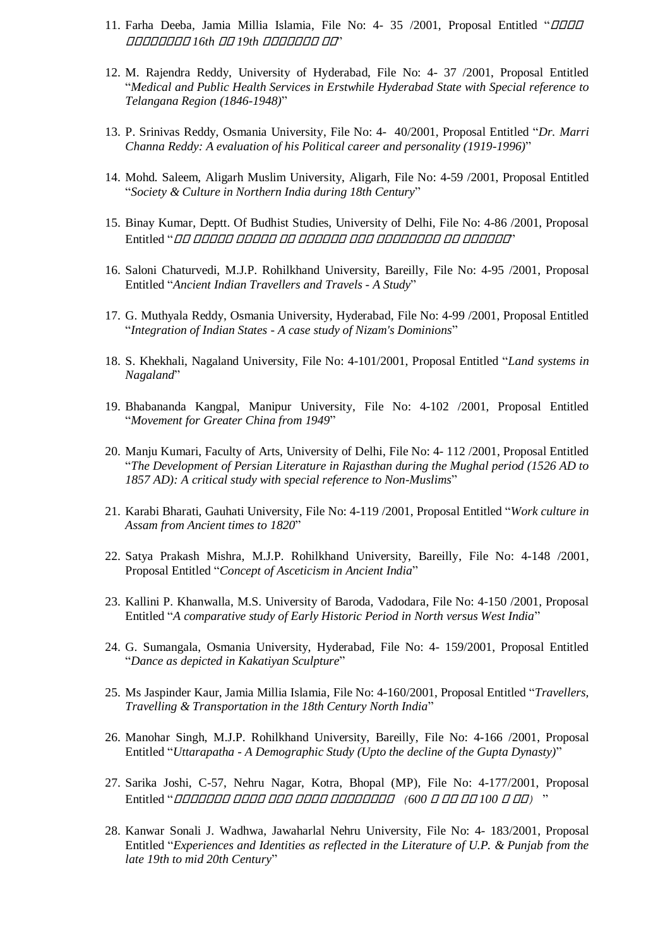- 11. Farha Deeba, Jamia Millia Islamia, File No: 4- 35 /2001, Proposal Entitled "*OOD* गगगगगगगग *16th* गग *19th* गगगगगगग गग"
- 12. M. Rajendra Reddy, University of Hyderabad, File No: 4- 37 /2001, Proposal Entitled "*Medical and Public Health Services in Erstwhile Hyderabad State with Special reference to Telangana Region (1846-1948)*"
- 13. P. Srinivas Reddy, Osmania University, File No: 4- 40/2001, Proposal Entitled "*Dr. Marri Channa Reddy: A evaluation of his Political career and personality (1919-1996)*"
- 14. Mohd. Saleem, Aligarh Muslim University, Aligarh, File No: 4-59 /2001, Proposal Entitled "*Society & Culture in Northern India during 18th Century*"
- 15. Binay Kumar, Deptt. Of Budhist Studies, University of Delhi, File No: 4-86 /2001, Proposal Entitled "गग गगगगग गगगगग गग गगगगगग गगग गगगगगगगग गग गगगगगग"
- 16. Saloni Chaturvedi, M.J.P. Rohilkhand University, Bareilly, File No: 4-95 /2001, Proposal Entitled "*Ancient Indian Travellers and Travels - A Study*"
- 17. G. Muthyala Reddy, Osmania University, Hyderabad, File No: 4-99 /2001, Proposal Entitled "*Integration of Indian States - A case study of Nizam's Dominions*"
- 18. S. Khekhali, Nagaland University, File No: 4-101/2001, Proposal Entitled "*Land systems in Nagaland*"
- 19. Bhabananda Kangpal, Manipur University, File No: 4-102 /2001, Proposal Entitled "*Movement for Greater China from 1949*"
- 20. Manju Kumari, Faculty of Arts, University of Delhi, File No: 4- 112 /2001, Proposal Entitled "*The Development of Persian Literature in Rajasthan during the Mughal period (1526 AD to 1857 AD): A critical study with special reference to Non-Muslims*"
- 21. Karabi Bharati, Gauhati University, File No: 4-119 /2001, Proposal Entitled "*Work culture in Assam from Ancient times to 1820*"
- 22. Satya Prakash Mishra, M.J.P. Rohilkhand University, Bareilly, File No: 4-148 /2001, Proposal Entitled "*Concept of Asceticism in Ancient India*"
- 23. Kallini P. Khanwalla, M.S. University of Baroda, Vadodara, File No: 4-150 /2001, Proposal Entitled "*A comparative study of Early Historic Period in North versus West India*"
- 24. G. Sumangala, Osmania University, Hyderabad, File No: 4- 159/2001, Proposal Entitled "*Dance as depicted in Kakatiyan Sculpture*"
- 25. Ms Jaspinder Kaur, Jamia Millia Islamia, File No: 4-160/2001, Proposal Entitled "*Travellers, Travelling & Transportation in the 18th Century North India*"
- 26. Manohar Singh, M.J.P. Rohilkhand University, Bareilly, File No: 4-166 /2001, Proposal Entitled "*Uttarapatha - A Demographic Study (Upto the decline of the Gupta Dynasty)*"
- 27. Sarika Joshi, C-57, Nehru Nagar, Kotra, Bhopal (MP), File No: 4-177/2001, Proposal Entitled "गगगगगगग गगगग गगग गगगग गगगगगगगग *(600* <sup>ग</sup> गग गग *100* <sup>ग</sup> गग*)* "
- 28. Kanwar Sonali J. Wadhwa, Jawaharlal Nehru University, File No: 4- 183/2001, Proposal Entitled "*Experiences and Identities as reflected in the Literature of U.P. & Punjab from the late 19th to mid 20th Century*"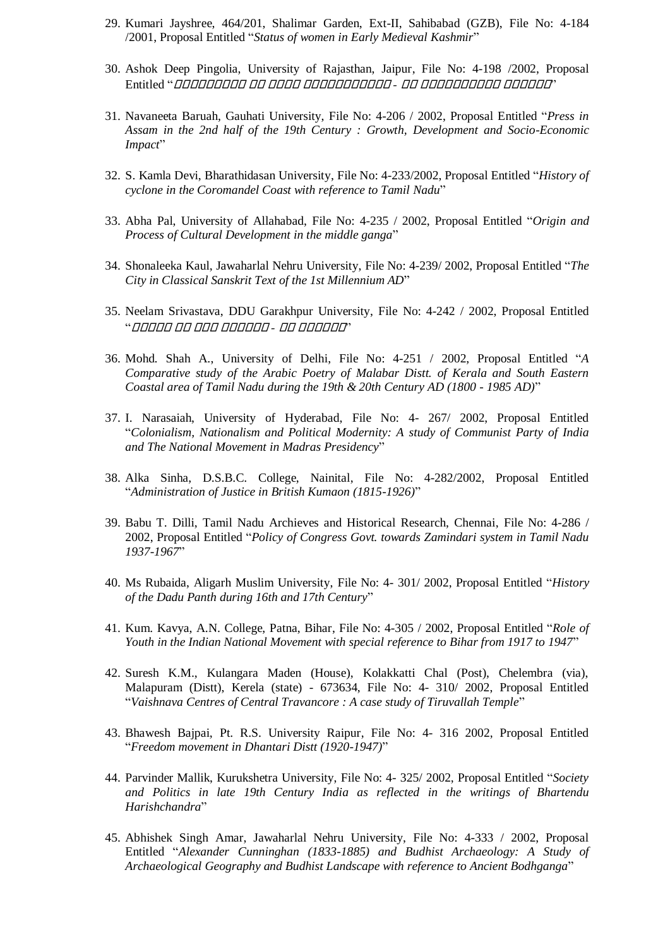- 29. Kumari Jayshree, 464/201, Shalimar Garden, Ext-II, Sahibabad (GZB), File No: 4-184 /2001, Proposal Entitled "*Status of women in Early Medieval Kashmir*"
- 30. Ashok Deep Pingolia, University of Rajasthan, Jaipur, File No: 4-198 /2002, Proposal Entitled "गगगगगगगगग गग गगगग गगगगगगगगगगग *-* गग गगगगगगगगगग गगगगगग"
- 31. Navaneeta Baruah, Gauhati University, File No: 4-206 / 2002, Proposal Entitled "*Press in Assam in the 2nd half of the 19th Century : Growth, Development and Socio-Economic Impact*"
- 32. S. Kamla Devi, Bharathidasan University, File No: 4-233/2002, Proposal Entitled "*History of cyclone in the Coromandel Coast with reference to Tamil Nadu*"
- 33. Abha Pal, University of Allahabad, File No: 4-235 / 2002, Proposal Entitled "*Origin and Process of Cultural Development in the middle ganga*"
- 34. Shonaleeka Kaul, Jawaharlal Nehru University, File No: 4-239/ 2002, Proposal Entitled "*The City in Classical Sanskrit Text of the 1st Millennium AD*"
- 35. Neelam Srivastava, DDU Garakhpur University, File No: 4-242 / 2002, Proposal Entitled "गगगगग गग गगग गगगगगग *-* गग गगगगगग"
- 36. Mohd. Shah A., University of Delhi, File No: 4-251 / 2002, Proposal Entitled "*A Comparative study of the Arabic Poetry of Malabar Distt. of Kerala and South Eastern Coastal area of Tamil Nadu during the 19th & 20th Century AD (1800 - 1985 AD)*"
- 37. I. Narasaiah, University of Hyderabad, File No: 4- 267/ 2002, Proposal Entitled "*Colonialism, Nationalism and Political Modernity: A study of Communist Party of India and The National Movement in Madras Presidency*"
- 38. Alka Sinha, D.S.B.C. College, Nainital, File No: 4-282/2002, Proposal Entitled "*Administration of Justice in British Kumaon (1815-1926)*"
- 39. Babu T. Dilli, Tamil Nadu Archieves and Historical Research, Chennai, File No: 4-286 / 2002, Proposal Entitled "*Policy of Congress Govt. towards Zamindari system in Tamil Nadu 1937-1967*"
- 40. Ms Rubaida, Aligarh Muslim University, File No: 4- 301/ 2002, Proposal Entitled "*History of the Dadu Panth during 16th and 17th Century*"
- 41. Kum. Kavya, A.N. College, Patna, Bihar, File No: 4-305 / 2002, Proposal Entitled "*Role of Youth in the Indian National Movement with special reference to Bihar from 1917 to 1947*"
- 42. Suresh K.M., Kulangara Maden (House), Kolakkatti Chal (Post), Chelembra (via), Malapuram (Distt), Kerela (state) - 673634, File No: 4- 310/ 2002, Proposal Entitled "*Vaishnava Centres of Central Travancore : A case study of Tiruvallah Temple*"
- 43. Bhawesh Bajpai, Pt. R.S. University Raipur, File No: 4- 316 2002, Proposal Entitled "*Freedom movement in Dhantari Distt (1920-1947)*"
- 44. Parvinder Mallik, Kurukshetra University, File No: 4- 325/ 2002, Proposal Entitled "*Society and Politics in late 19th Century India as reflected in the writings of Bhartendu Harishchandra*"
- 45. Abhishek Singh Amar, Jawaharlal Nehru University, File No: 4-333 / 2002, Proposal Entitled "*Alexander Cunninghan (1833-1885) and Budhist Archaeology: A Study of Archaeological Geography and Budhist Landscape with reference to Ancient Bodhganga*"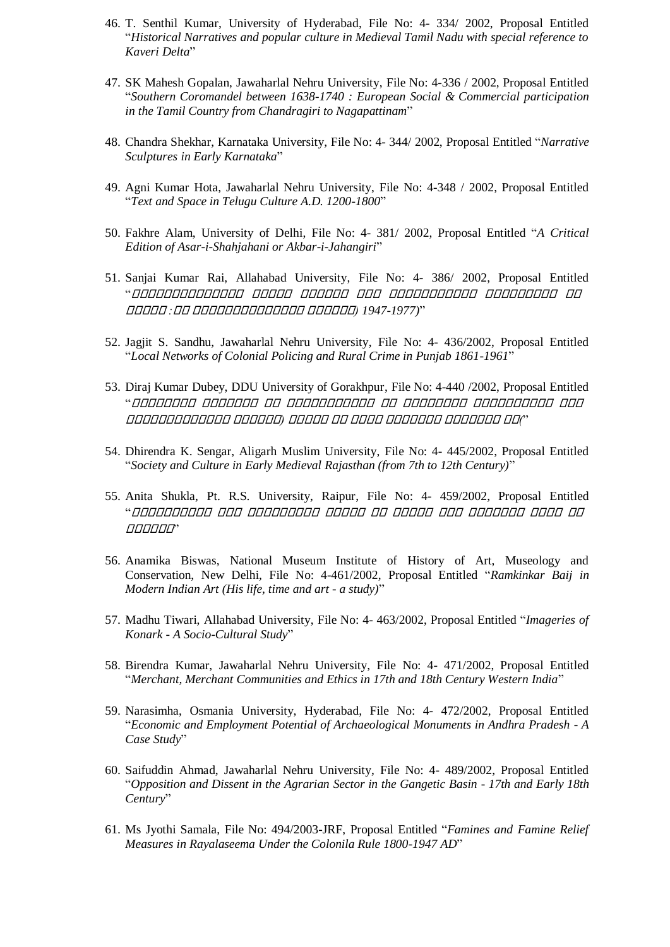- 46. T. Senthil Kumar, University of Hyderabad, File No: 4- 334/ 2002, Proposal Entitled "*Historical Narratives and popular culture in Medieval Tamil Nadu with special reference to Kaveri Delta*"
- 47. SK Mahesh Gopalan, Jawaharlal Nehru University, File No: 4-336 / 2002, Proposal Entitled "*Southern Coromandel between 1638-1740 : European Social & Commercial participation in the Tamil Country from Chandragiri to Nagapattinam*"
- 48. Chandra Shekhar, Karnataka University, File No: 4- 344/ 2002, Proposal Entitled "*Narrative Sculptures in Early Karnataka*"
- 49. Agni Kumar Hota, Jawaharlal Nehru University, File No: 4-348 / 2002, Proposal Entitled "*Text and Space in Telugu Culture A.D. 1200-1800*"
- 50. Fakhre Alam, University of Delhi, File No: 4- 381/ 2002, Proposal Entitled "*A Critical Edition of Asar-i-Shahjahani or Akbar-i-Jahangiri*"
- 51. Sanjai Kumar Rai, Allahabad University, File No: 4- 386/ 2002, Proposal Entitled "गगगगगगगगगगगगगग गगगगग गगगगगग गगग गगगगगगगगगगग गगगगगगगगग गग गगगगग *:*गग गगगगगगगगगगगगगग गगगगगग*( 1947-1977)*"
- 52. Jagjit S. Sandhu, Jawaharlal Nehru University, File No: 4- 436/2002, Proposal Entitled "*Local Networks of Colonial Policing and Rural Crime in Punjab 1861-1961*"
- 53. Diraj Kumar Dubey, DDU University of Gorakhpur, File No: 4-440 /2002, Proposal Entitled "गगगगगगगग गगगगगगग गग गगगगगगगगगगग गग गगगगगगगग गगगगगगगगगग गगग गगगगगगगगगगगगग गगगगगग*(* गगगगग गग गगगग गगगगगगग गगगगगगग गग*)*"
- 54. Dhirendra K. Sengar, Aligarh Muslim University, File No: 4- 445/2002, Proposal Entitled "*Society and Culture in Early Medieval Rajasthan (from 7th to 12th Century)*"
- 55. Anita Shukla, Pt. R.S. University, Raipur, File No: 4- 459/2002, Proposal Entitled "गगगगगगगगगग गगग गगगगगगगगग गगगगग गग गगगगग गगग गगगगगगग गगगग गग गगगगगग"
- 56. Anamika Biswas, National Museum Institute of History of Art, Museology and Conservation, New Delhi, File No: 4-461/2002, Proposal Entitled "*Ramkinkar Baij in Modern Indian Art (His life, time and art - a study)*"
- 57. Madhu Tiwari, Allahabad University, File No: 4- 463/2002, Proposal Entitled "*Imageries of Konark - A Socio-Cultural Study*"
- 58. Birendra Kumar, Jawaharlal Nehru University, File No: 4- 471/2002, Proposal Entitled "*Merchant, Merchant Communities and Ethics in 17th and 18th Century Western India*"
- 59. Narasimha, Osmania University, Hyderabad, File No: 4- 472/2002, Proposal Entitled "*Economic and Employment Potential of Archaeological Monuments in Andhra Pradesh - A Case Study*"
- 60. Saifuddin Ahmad, Jawaharlal Nehru University, File No: 4- 489/2002, Proposal Entitled "*Opposition and Dissent in the Agrarian Sector in the Gangetic Basin - 17th and Early 18th Century*"
- 61. Ms Jyothi Samala, File No: 494/2003-JRF, Proposal Entitled "*Famines and Famine Relief Measures in Rayalaseema Under the Colonila Rule 1800-1947 AD*"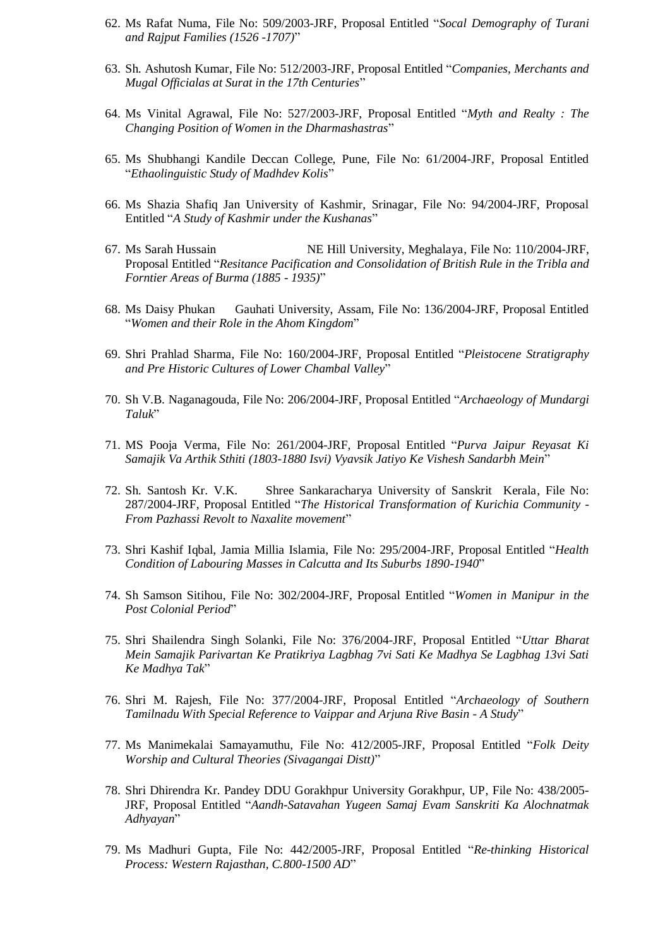- 62. Ms Rafat Numa, File No: 509/2003-JRF, Proposal Entitled "*Socal Demography of Turani and Rajput Families (1526 -1707)*"
- 63. Sh. Ashutosh Kumar, File No: 512/2003-JRF, Proposal Entitled "*Companies, Merchants and Mugal Officialas at Surat in the 17th Centuries*"
- 64. Ms Vinital Agrawal, File No: 527/2003-JRF, Proposal Entitled "*Myth and Realty : The Changing Position of Women in the Dharmashastras*"
- 65. Ms Shubhangi Kandile Deccan College, Pune, File No: 61/2004-JRF, Proposal Entitled "*Ethaolinguistic Study of Madhdev Kolis*"
- 66. Ms Shazia Shafiq Jan University of Kashmir, Srinagar, File No: 94/2004-JRF, Proposal Entitled "*A Study of Kashmir under the Kushanas*"
- 67. Ms Sarah Hussain NE Hill University, Meghalaya, File No: 110/2004-JRF, Proposal Entitled "*Resitance Pacification and Consolidation of British Rule in the Tribla and Forntier Areas of Burma (1885 - 1935)*"
- 68. Ms Daisy Phukan Gauhati University, Assam, File No: 136/2004-JRF, Proposal Entitled "*Women and their Role in the Ahom Kingdom*"
- 69. Shri Prahlad Sharma, File No: 160/2004-JRF, Proposal Entitled "*Pleistocene Stratigraphy and Pre Historic Cultures of Lower Chambal Valley*"
- 70. Sh V.B. Naganagouda, File No: 206/2004-JRF, Proposal Entitled "*Archaeology of Mundargi Taluk*"
- 71. MS Pooja Verma, File No: 261/2004-JRF, Proposal Entitled "*Purva Jaipur Reyasat Ki Samajik Va Arthik Sthiti (1803-1880 Isvi) Vyavsik Jatiyo Ke Vishesh Sandarbh Mein*"
- 72. Sh. Santosh Kr. V.K. Shree Sankaracharya University of Sanskrit Kerala, File No: 287/2004-JRF, Proposal Entitled "*The Historical Transformation of Kurichia Community - From Pazhassi Revolt to Naxalite movement*"
- 73. Shri Kashif Iqbal, Jamia Millia Islamia, File No: 295/2004-JRF, Proposal Entitled "*Health Condition of Labouring Masses in Calcutta and Its Suburbs 1890-1940*"
- 74. Sh Samson Sitihou, File No: 302/2004-JRF, Proposal Entitled "*Women in Manipur in the Post Colonial Period*"
- 75. Shri Shailendra Singh Solanki, File No: 376/2004-JRF, Proposal Entitled "*Uttar Bharat Mein Samajik Parivartan Ke Pratikriya Lagbhag 7vi Sati Ke Madhya Se Lagbhag 13vi Sati Ke Madhya Tak*"
- 76. Shri M. Rajesh, File No: 377/2004-JRF, Proposal Entitled "*Archaeology of Southern Tamilnadu With Special Reference to Vaippar and Arjuna Rive Basin - A Study*"
- 77. Ms Manimekalai Samayamuthu, File No: 412/2005-JRF, Proposal Entitled "*Folk Deity Worship and Cultural Theories (Sivagangai Distt)*"
- 78. Shri Dhirendra Kr. Pandey DDU Gorakhpur University Gorakhpur, UP, File No: 438/2005- JRF, Proposal Entitled "*Aandh-Satavahan Yugeen Samaj Evam Sanskriti Ka Alochnatmak Adhyayan*"
- 79. Ms Madhuri Gupta, File No: 442/2005-JRF, Proposal Entitled "*Re-thinking Historical Process: Western Rajasthan, C.800-1500 AD*"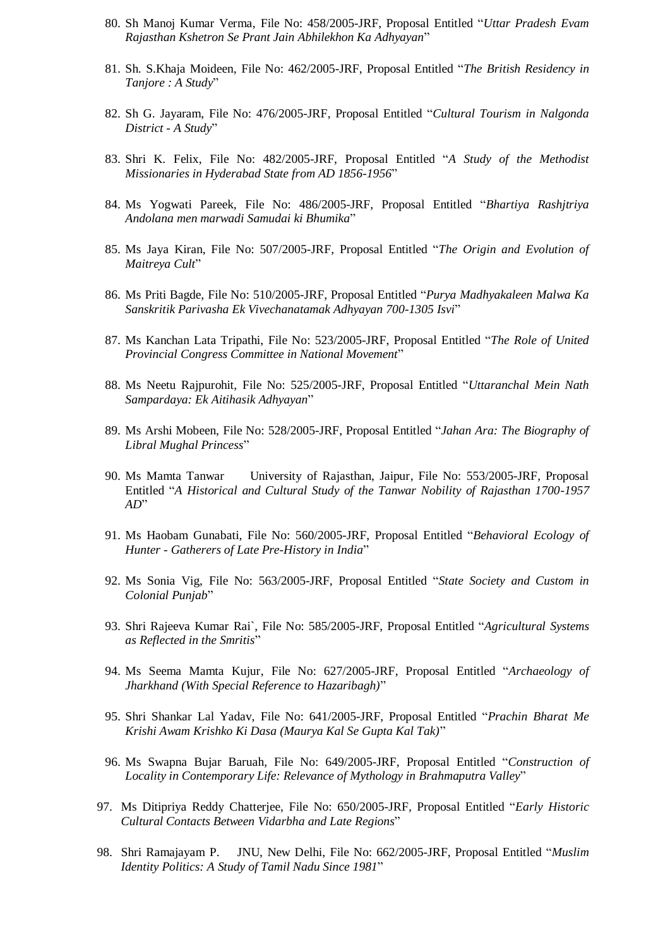- 80. Sh Manoj Kumar Verma, File No: 458/2005-JRF, Proposal Entitled "*Uttar Pradesh Evam Rajasthan Kshetron Se Prant Jain Abhilekhon Ka Adhyayan*"
- 81. Sh. S.Khaja Moideen, File No: 462/2005-JRF, Proposal Entitled "*The British Residency in Tanjore : A Study*"
- 82. Sh G. Jayaram, File No: 476/2005-JRF, Proposal Entitled "*Cultural Tourism in Nalgonda District - A Study*"
- 83. Shri K. Felix, File No: 482/2005-JRF, Proposal Entitled "*A Study of the Methodist Missionaries in Hyderabad State from AD 1856-1956*"
- 84. Ms Yogwati Pareek, File No: 486/2005-JRF, Proposal Entitled "*Bhartiya Rashjtriya Andolana men marwadi Samudai ki Bhumika*"
- 85. Ms Jaya Kiran, File No: 507/2005-JRF, Proposal Entitled "*The Origin and Evolution of Maitreya Cult*"
- 86. Ms Priti Bagde, File No: 510/2005-JRF, Proposal Entitled "*Purya Madhyakaleen Malwa Ka Sanskritik Parivasha Ek Vivechanatamak Adhyayan 700-1305 Isvi*"
- 87. Ms Kanchan Lata Tripathi, File No: 523/2005-JRF, Proposal Entitled "*The Role of United Provincial Congress Committee in National Movement*"
- 88. Ms Neetu Rajpurohit, File No: 525/2005-JRF, Proposal Entitled "*Uttaranchal Mein Nath Sampardaya: Ek Aitihasik Adhyayan*"
- 89. Ms Arshi Mobeen, File No: 528/2005-JRF, Proposal Entitled "*Jahan Ara: The Biography of Libral Mughal Princess*"
- 90. Ms Mamta Tanwar University of Rajasthan, Jaipur, File No: 553/2005-JRF, Proposal Entitled "*A Historical and Cultural Study of the Tanwar Nobility of Rajasthan 1700-1957 AD*"
- 91. Ms Haobam Gunabati, File No: 560/2005-JRF, Proposal Entitled "*Behavioral Ecology of Hunter - Gatherers of Late Pre-History in India*"
- 92. Ms Sonia Vig, File No: 563/2005-JRF, Proposal Entitled "*State Society and Custom in Colonial Punjab*"
- 93. Shri Rajeeva Kumar Rai`, File No: 585/2005-JRF, Proposal Entitled "*Agricultural Systems as Reflected in the Smritis*"
- 94. Ms Seema Mamta Kujur, File No: 627/2005-JRF, Proposal Entitled "*Archaeology of Jharkhand (With Special Reference to Hazaribagh)*"
- 95. Shri Shankar Lal Yadav, File No: 641/2005-JRF, Proposal Entitled "*Prachin Bharat Me Krishi Awam Krishko Ki Dasa (Maurya Kal Se Gupta Kal Tak)*"
- 96. Ms Swapna Bujar Baruah, File No: 649/2005-JRF, Proposal Entitled "*Construction of Locality in Contemporary Life: Relevance of Mythology in Brahmaputra Valley*"
- 97. Ms Ditipriya Reddy Chatterjee, File No: 650/2005-JRF, Proposal Entitled "*Early Historic Cultural Contacts Between Vidarbha and Late Regions*"
- 98. Shri Ramajayam P. JNU, New Delhi, File No: 662/2005-JRF, Proposal Entitled "*Muslim Identity Politics: A Study of Tamil Nadu Since 1981*"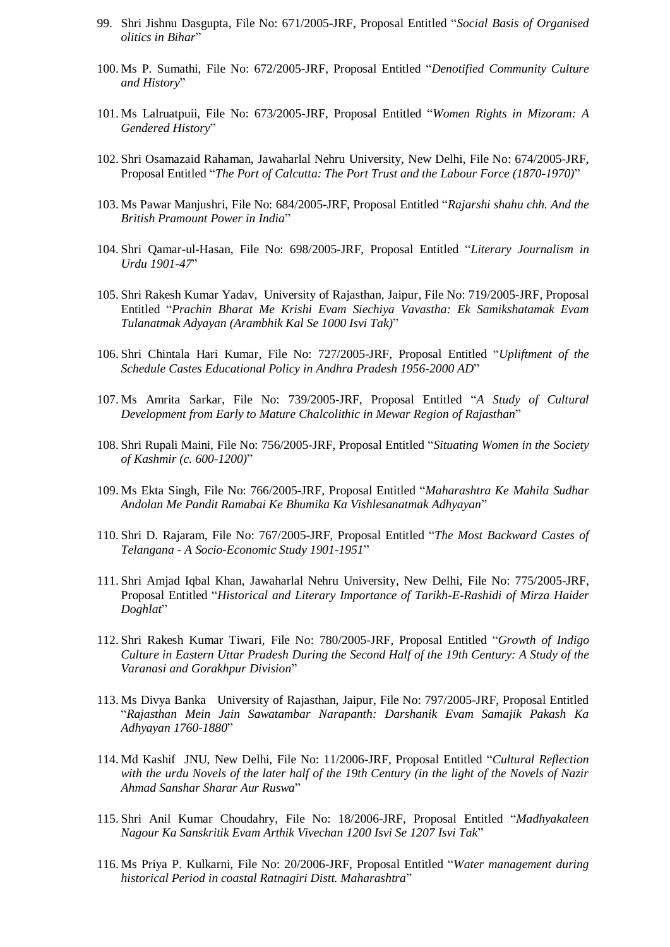- 99. Shri Jishnu Dasgupta, File No: 671/2005-JRF, Proposal Entitled "*Social Basis of Organised olitics in Bihar*"
- 100. Ms P. Sumathi, File No: 672/2005-JRF, Proposal Entitled "*Denotified Community Culture and History*"
- 101. Ms Lalruatpuii, File No: 673/2005-JRF, Proposal Entitled "*Women Rights in Mizoram: A Gendered History*"
- 102. Shri Osamazaid Rahaman, Jawaharlal Nehru University, New Delhi, File No: 674/2005-JRF, Proposal Entitled "*The Port of Calcutta: The Port Trust and the Labour Force (1870-1970)*"
- 103. Ms Pawar Manjushri, File No: 684/2005-JRF, Proposal Entitled "*Rajarshi shahu chh. And the British Pramount Power in India*"
- 104. Shri Qamar-ul-Hasan, File No: 698/2005-JRF, Proposal Entitled "*Literary Journalism in Urdu 1901-47*"
- 105. Shri Rakesh Kumar Yadav, University of Rajasthan, Jaipur, File No: 719/2005-JRF, Proposal Entitled "*Prachin Bharat Me Krishi Evam Siechiya Vavastha: Ek Samikshatamak Evam Tulanatmak Adyayan (Arambhik Kal Se 1000 Isvi Tak)*"
- 106. Shri Chintala Hari Kumar, File No: 727/2005-JRF, Proposal Entitled "*Upliftment of the Schedule Castes Educational Policy in Andhra Pradesh 1956-2000 AD*"
- 107. Ms Amrita Sarkar, File No: 739/2005-JRF, Proposal Entitled "*A Study of Cultural Development from Early to Mature Chalcolithic in Mewar Region of Rajasthan*"
- 108. Shri Rupali Maini, File No: 756/2005-JRF, Proposal Entitled "*Situating Women in the Society of Kashmir (c. 600-1200)*"
- 109. Ms Ekta Singh, File No: 766/2005-JRF, Proposal Entitled "*Maharashtra Ke Mahila Sudhar Andolan Me Pandit Ramabai Ke Bhumika Ka Vishlesanatmak Adhyayan*"
- 110. Shri D. Rajaram, File No: 767/2005-JRF, Proposal Entitled "*The Most Backward Castes of Telangana - A Socio-Economic Study 1901-1951*"
- 111. Shri Amjad Iqbal Khan, Jawaharlal Nehru University, New Delhi, File No: 775/2005-JRF, Proposal Entitled "*Historical and Literary Importance of Tarikh-E-Rashidi of Mirza Haider Doghlat*"
- 112. Shri Rakesh Kumar Tiwari, File No: 780/2005-JRF, Proposal Entitled "*Growth of Indigo Culture in Eastern Uttar Pradesh During the Second Half of the 19th Century: A Study of the Varanasi and Gorakhpur Division*"
- 113. Ms Divya Banka University of Rajasthan, Jaipur, File No: 797/2005-JRF, Proposal Entitled "*Rajasthan Mein Jain Sawatambar Narapanth: Darshanik Evam Samajik Pakash Ka Adhyayan 1760-1880*"
- 114. Md Kashif JNU, New Delhi, File No: 11/2006-JRF, Proposal Entitled "*Cultural Reflection with the urdu Novels of the later half of the 19th Century (in the light of the Novels of Nazir Ahmad Sanshar Sharar Aur Ruswa*"
- 115. Shri Anil Kumar Choudahry, File No: 18/2006-JRF, Proposal Entitled "*Madhyakaleen Nagour Ka Sanskritik Evam Arthik Vivechan 1200 Isvi Se 1207 Isvi Tak*"
- 116. Ms Priya P. Kulkarni, File No: 20/2006-JRF, Proposal Entitled "*Water management during historical Period in coastal Ratnagiri Distt. Maharashtra*"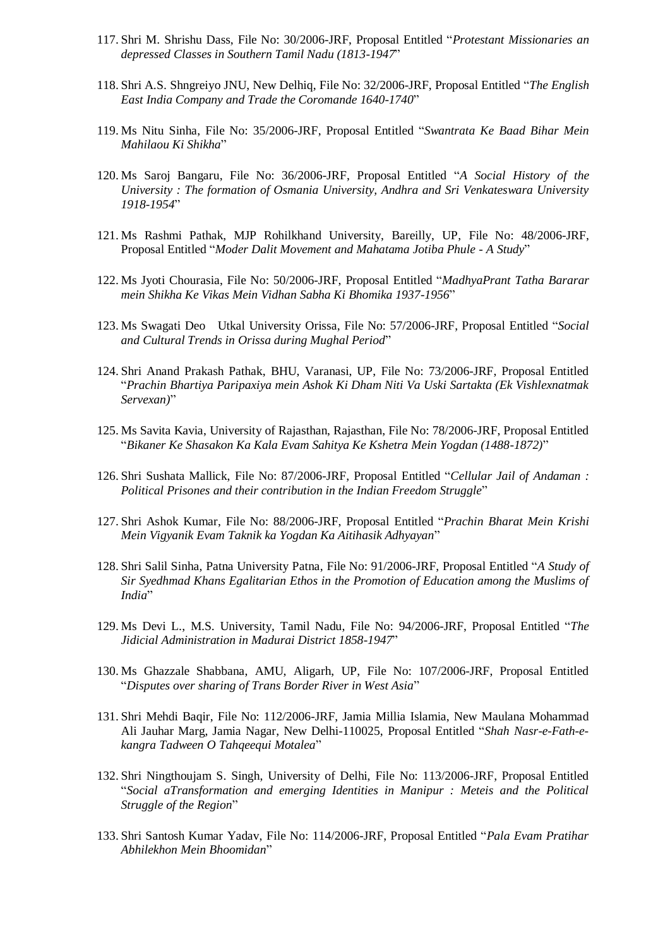- 117. Shri M. Shrishu Dass, File No: 30/2006-JRF, Proposal Entitled "*Protestant Missionaries an depressed Classes in Southern Tamil Nadu (1813-1947*"
- 118. Shri A.S. Shngreiyo JNU, New Delhiq, File No: 32/2006-JRF, Proposal Entitled "*The English East India Company and Trade the Coromande 1640-1740*"
- 119. Ms Nitu Sinha, File No: 35/2006-JRF, Proposal Entitled "*Swantrata Ke Baad Bihar Mein Mahilaou Ki Shikha*"
- 120. Ms Saroj Bangaru, File No: 36/2006-JRF, Proposal Entitled "*A Social History of the University : The formation of Osmania University, Andhra and Sri Venkateswara University 1918-1954*"
- 121. Ms Rashmi Pathak, MJP Rohilkhand University, Bareilly, UP, File No: 48/2006-JRF, Proposal Entitled "*Moder Dalit Movement and Mahatama Jotiba Phule - A Study*"
- 122. Ms Jyoti Chourasia, File No: 50/2006-JRF, Proposal Entitled "*MadhyaPrant Tatha Bararar mein Shikha Ke Vikas Mein Vidhan Sabha Ki Bhomika 1937-1956*"
- 123. Ms Swagati Deo Utkal University Orissa, File No: 57/2006-JRF, Proposal Entitled "*Social and Cultural Trends in Orissa during Mughal Period*"
- 124. Shri Anand Prakash Pathak, BHU, Varanasi, UP, File No: 73/2006-JRF, Proposal Entitled "*Prachin Bhartiya Paripaxiya mein Ashok Ki Dham Niti Va Uski Sartakta (Ek Vishlexnatmak Servexan)*"
- 125. Ms Savita Kavia, University of Rajasthan, Rajasthan, File No: 78/2006-JRF, Proposal Entitled "*Bikaner Ke Shasakon Ka Kala Evam Sahitya Ke Kshetra Mein Yogdan (1488-1872)*"
- 126. Shri Sushata Mallick, File No: 87/2006-JRF, Proposal Entitled "*Cellular Jail of Andaman : Political Prisones and their contribution in the Indian Freedom Struggle*"
- 127. Shri Ashok Kumar, File No: 88/2006-JRF, Proposal Entitled "*Prachin Bharat Mein Krishi Mein Vigyanik Evam Taknik ka Yogdan Ka Aitihasik Adhyayan*"
- 128. Shri Salil Sinha, Patna University Patna, File No: 91/2006-JRF, Proposal Entitled "*A Study of Sir Syedhmad Khans Egalitarian Ethos in the Promotion of Education among the Muslims of India*"
- 129. Ms Devi L., M.S. University, Tamil Nadu, File No: 94/2006-JRF, Proposal Entitled "*The Jidicial Administration in Madurai District 1858-1947*"
- 130. Ms Ghazzale Shabbana, AMU, Aligarh, UP, File No: 107/2006-JRF, Proposal Entitled "*Disputes over sharing of Trans Border River in West Asia*"
- 131. Shri Mehdi Baqir, File No: 112/2006-JRF, Jamia Millia Islamia, New Maulana Mohammad Ali Jauhar Marg, Jamia Nagar, New Delhi-110025, Proposal Entitled "*Shah Nasr-e-Fath-ekangra Tadween O Tahqeequi Motalea*"
- 132. Shri Ningthoujam S. Singh, University of Delhi, File No: 113/2006-JRF, Proposal Entitled "*Social aTransformation and emerging Identities in Manipur : Meteis and the Political Struggle of the Region*"
- 133. Shri Santosh Kumar Yadav, File No: 114/2006-JRF, Proposal Entitled "*Pala Evam Pratihar Abhilekhon Mein Bhoomidan*"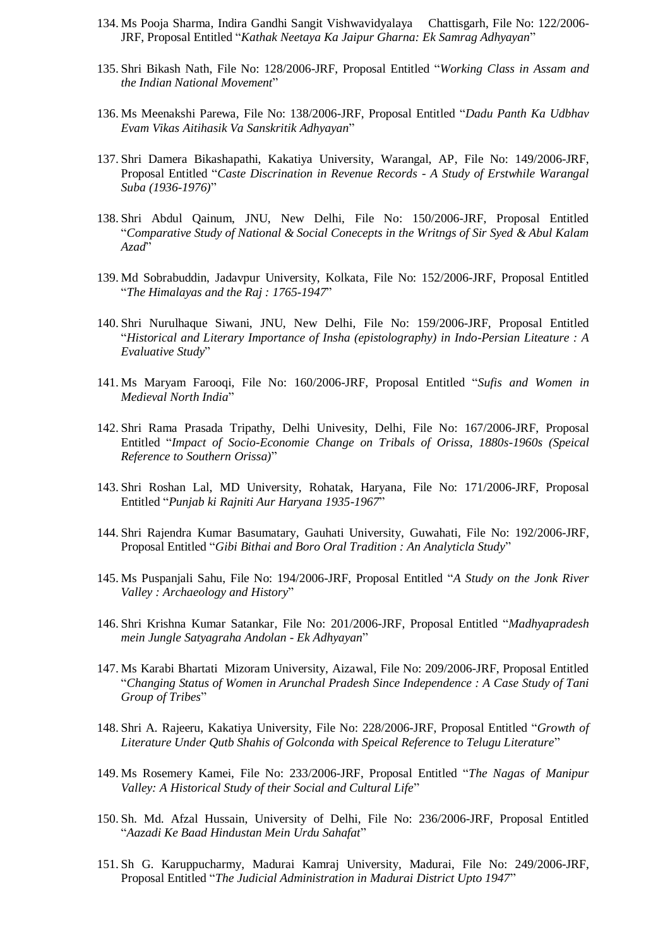- 134. Ms Pooja Sharma, Indira Gandhi Sangit Vishwavidyalaya Chattisgarh, File No: 122/2006- JRF, Proposal Entitled "*Kathak Neetaya Ka Jaipur Gharna: Ek Samrag Adhyayan*"
- 135. Shri Bikash Nath, File No: 128/2006-JRF, Proposal Entitled "*Working Class in Assam and the Indian National Movement*"
- 136. Ms Meenakshi Parewa, File No: 138/2006-JRF, Proposal Entitled "*Dadu Panth Ka Udbhav Evam Vikas Aitihasik Va Sanskritik Adhyayan*"
- 137. Shri Damera Bikashapathi, Kakatiya University, Warangal, AP, File No: 149/2006-JRF, Proposal Entitled "*Caste Discrination in Revenue Records - A Study of Erstwhile Warangal Suba (1936-1976)*"
- 138. Shri Abdul Qainum, JNU, New Delhi, File No: 150/2006-JRF, Proposal Entitled "*Comparative Study of National & Social Conecepts in the Writngs of Sir Syed & Abul Kalam Azad*"
- 139. Md Sobrabuddin, Jadavpur University, Kolkata, File No: 152/2006-JRF, Proposal Entitled "*The Himalayas and the Raj : 1765-1947*"
- 140. Shri Nurulhaque Siwani, JNU, New Delhi, File No: 159/2006-JRF, Proposal Entitled "*Historical and Literary Importance of Insha (epistolography) in Indo-Persian Liteature : A Evaluative Study*"
- 141. Ms Maryam Farooqi, File No: 160/2006-JRF, Proposal Entitled "*Sufis and Women in Medieval North India*"
- 142. Shri Rama Prasada Tripathy, Delhi Univesity, Delhi, File No: 167/2006-JRF, Proposal Entitled "*Impact of Socio-Economie Change on Tribals of Orissa, 1880s-1960s (Speical Reference to Southern Orissa)*"
- 143. Shri Roshan Lal, MD University, Rohatak, Haryana, File No: 171/2006-JRF, Proposal Entitled "*Punjab ki Rajniti Aur Haryana 1935-1967*"
- 144. Shri Rajendra Kumar Basumatary, Gauhati University, Guwahati, File No: 192/2006-JRF, Proposal Entitled "*Gibi Bithai and Boro Oral Tradition : An Analyticla Study*"
- 145. Ms Puspanjali Sahu, File No: 194/2006-JRF, Proposal Entitled "*A Study on the Jonk River Valley : Archaeology and History*"
- 146. Shri Krishna Kumar Satankar, File No: 201/2006-JRF, Proposal Entitled "*Madhyapradesh mein Jungle Satyagraha Andolan - Ek Adhyayan*"
- 147. Ms Karabi Bhartati Mizoram University, Aizawal, File No: 209/2006-JRF, Proposal Entitled "*Changing Status of Women in Arunchal Pradesh Since Independence : A Case Study of Tani Group of Tribes*"
- 148. Shri A. Rajeeru, Kakatiya University, File No: 228/2006-JRF, Proposal Entitled "*Growth of Literature Under Qutb Shahis of Golconda with Speical Reference to Telugu Literature*"
- 149. Ms Rosemery Kamei, File No: 233/2006-JRF, Proposal Entitled "*The Nagas of Manipur Valley: A Historical Study of their Social and Cultural Life*"
- 150. Sh. Md. Afzal Hussain, University of Delhi, File No: 236/2006-JRF, Proposal Entitled "*Aazadi Ke Baad Hindustan Mein Urdu Sahafat*"
- 151. Sh G. Karuppucharmy, Madurai Kamraj University, Madurai, File No: 249/2006-JRF, Proposal Entitled "*The Judicial Administration in Madurai District Upto 1947*"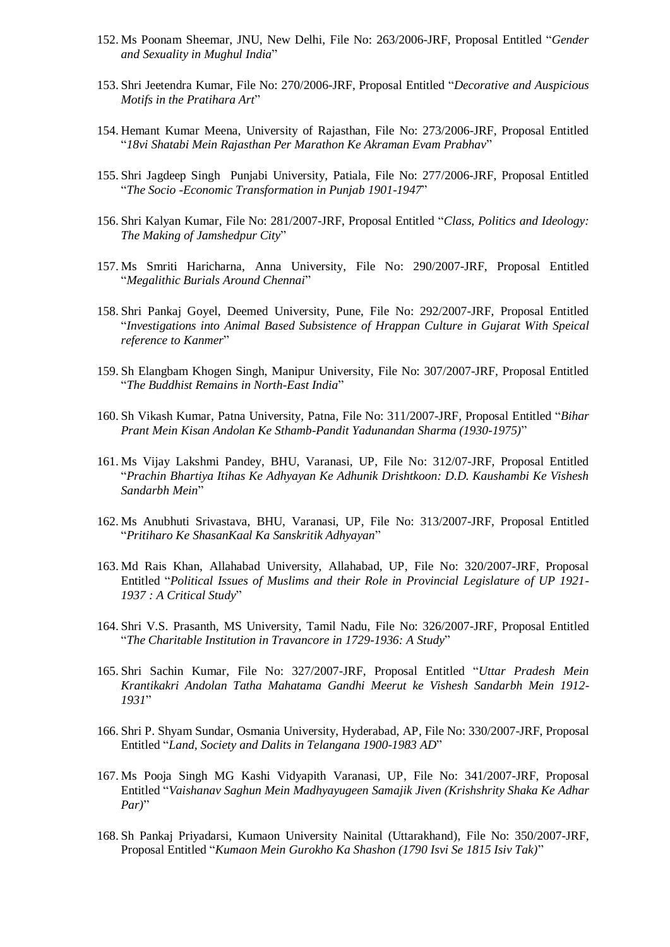- 152. Ms Poonam Sheemar, JNU, New Delhi, File No: 263/2006-JRF, Proposal Entitled "*Gender and Sexuality in Mughul India*"
- 153. Shri Jeetendra Kumar, File No: 270/2006-JRF, Proposal Entitled "*Decorative and Auspicious Motifs in the Pratihara Art*"
- 154. Hemant Kumar Meena, University of Rajasthan, File No: 273/2006-JRF, Proposal Entitled "*18vi Shatabi Mein Rajasthan Per Marathon Ke Akraman Evam Prabhav*"
- 155. Shri Jagdeep Singh Punjabi University, Patiala, File No: 277/2006-JRF, Proposal Entitled "*The Socio -Economic Transformation in Punjab 1901-1947*"
- 156. Shri Kalyan Kumar, File No: 281/2007-JRF, Proposal Entitled "*Class, Politics and Ideology: The Making of Jamshedpur City*"
- 157. Ms Smriti Haricharna, Anna University, File No: 290/2007-JRF, Proposal Entitled "*Megalithic Burials Around Chennai*"
- 158. Shri Pankaj Goyel, Deemed University, Pune, File No: 292/2007-JRF, Proposal Entitled "*Investigations into Animal Based Subsistence of Hrappan Culture in Gujarat With Speical reference to Kanmer*"
- 159. Sh Elangbam Khogen Singh, Manipur University, File No: 307/2007-JRF, Proposal Entitled "*The Buddhist Remains in North-East India*"
- 160. Sh Vikash Kumar, Patna University, Patna, File No: 311/2007-JRF, Proposal Entitled "*Bihar Prant Mein Kisan Andolan Ke Sthamb-Pandit Yadunandan Sharma (1930-1975)*"
- 161. Ms Vijay Lakshmi Pandey, BHU, Varanasi, UP, File No: 312/07-JRF, Proposal Entitled "*Prachin Bhartiya Itihas Ke Adhyayan Ke Adhunik Drishtkoon: D.D. Kaushambi Ke Vishesh Sandarbh Mein*"
- 162. Ms Anubhuti Srivastava, BHU, Varanasi, UP, File No: 313/2007-JRF, Proposal Entitled "*Pritiharo Ke ShasanKaal Ka Sanskritik Adhyayan*"
- 163. Md Rais Khan, Allahabad University, Allahabad, UP, File No: 320/2007-JRF, Proposal Entitled "*Political Issues of Muslims and their Role in Provincial Legislature of UP 1921- 1937 : A Critical Study*"
- 164. Shri V.S. Prasanth, MS University, Tamil Nadu, File No: 326/2007-JRF, Proposal Entitled "*The Charitable Institution in Travancore in 1729-1936: A Study*"
- 165. Shri Sachin Kumar, File No: 327/2007-JRF, Proposal Entitled "*Uttar Pradesh Mein Krantikakri Andolan Tatha Mahatama Gandhi Meerut ke Vishesh Sandarbh Mein 1912- 1931*"
- 166. Shri P. Shyam Sundar, Osmania University, Hyderabad, AP, File No: 330/2007-JRF, Proposal Entitled "*Land, Society and Dalits in Telangana 1900-1983 AD*"
- 167. Ms Pooja Singh MG Kashi Vidyapith Varanasi, UP, File No: 341/2007-JRF, Proposal Entitled "*Vaishanav Saghun Mein Madhyayugeen Samajik Jiven (Krishshrity Shaka Ke Adhar Par)*"
- 168. Sh Pankaj Priyadarsi, Kumaon University Nainital (Uttarakhand), File No: 350/2007-JRF, Proposal Entitled "*Kumaon Mein Gurokho Ka Shashon (1790 Isvi Se 1815 Isiv Tak)*"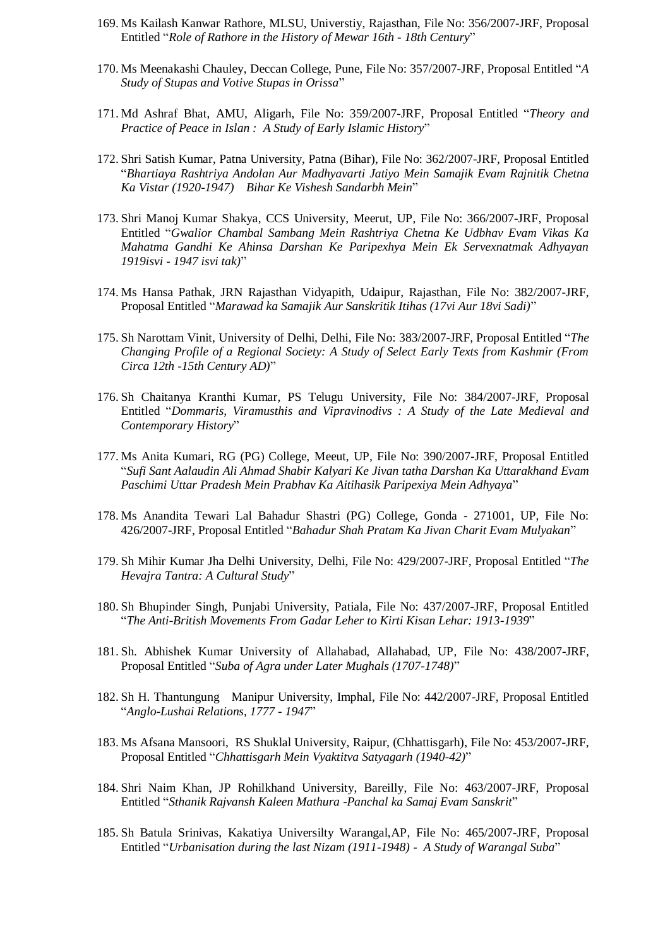- 169. Ms Kailash Kanwar Rathore, MLSU, Universtiy, Rajasthan, File No: 356/2007-JRF, Proposal Entitled "*Role of Rathore in the History of Mewar 16th - 18th Century*"
- 170. Ms Meenakashi Chauley, Deccan College, Pune, File No: 357/2007-JRF, Proposal Entitled "*A Study of Stupas and Votive Stupas in Orissa*"
- 171. Md Ashraf Bhat, AMU, Aligarh, File No: 359/2007-JRF, Proposal Entitled "*Theory and Practice of Peace in Islan : A Study of Early Islamic History*"
- 172. Shri Satish Kumar, Patna University, Patna (Bihar), File No: 362/2007-JRF, Proposal Entitled "*Bhartiaya Rashtriya Andolan Aur Madhyavarti Jatiyo Mein Samajik Evam Rajnitik Chetna Ka Vistar (1920-1947) Bihar Ke Vishesh Sandarbh Mein*"
- 173. Shri Manoj Kumar Shakya, CCS University, Meerut, UP, File No: 366/2007-JRF, Proposal Entitled "*Gwalior Chambal Sambang Mein Rashtriya Chetna Ke Udbhav Evam Vikas Ka Mahatma Gandhi Ke Ahinsa Darshan Ke Paripexhya Mein Ek Servexnatmak Adhyayan 1919isvi - 1947 isvi tak)*"
- 174. Ms Hansa Pathak, JRN Rajasthan Vidyapith, Udaipur, Rajasthan, File No: 382/2007-JRF, Proposal Entitled "*Marawad ka Samajik Aur Sanskritik Itihas (17vi Aur 18vi Sadi)*"
- 175. Sh Narottam Vinit, University of Delhi, Delhi, File No: 383/2007-JRF, Proposal Entitled "*The Changing Profile of a Regional Society: A Study of Select Early Texts from Kashmir (From Circa 12th -15th Century AD)*"
- 176. Sh Chaitanya Kranthi Kumar, PS Telugu University, File No: 384/2007-JRF, Proposal Entitled "*Dommaris, Viramusthis and Vipravinodivs : A Study of the Late Medieval and Contemporary History*"
- 177. Ms Anita Kumari, RG (PG) College, Meeut, UP, File No: 390/2007-JRF, Proposal Entitled "*Sufi Sant Aalaudin Ali Ahmad Shabir Kalyari Ke Jivan tatha Darshan Ka Uttarakhand Evam Paschimi Uttar Pradesh Mein Prabhav Ka Aitihasik Paripexiya Mein Adhyaya*"
- 178. Ms Anandita Tewari Lal Bahadur Shastri (PG) College, Gonda 271001, UP, File No: 426/2007-JRF, Proposal Entitled "*Bahadur Shah Pratam Ka Jivan Charit Evam Mulyakan*"
- 179. Sh Mihir Kumar Jha Delhi University, Delhi, File No: 429/2007-JRF, Proposal Entitled "*The Hevajra Tantra: A Cultural Study*"
- 180. Sh Bhupinder Singh, Punjabi University, Patiala, File No: 437/2007-JRF, Proposal Entitled "*The Anti-British Movements From Gadar Leher to Kirti Kisan Lehar: 1913-1939*"
- 181. Sh. Abhishek Kumar University of Allahabad, Allahabad, UP, File No: 438/2007-JRF, Proposal Entitled "*Suba of Agra under Later Mughals (1707-1748)*"
- 182. Sh H. Thantungung Manipur University, Imphal, File No: 442/2007-JRF, Proposal Entitled "*Anglo-Lushai Relations, 1777 - 1947*"
- 183. Ms Afsana Mansoori, RS Shuklal University, Raipur, (Chhattisgarh), File No: 453/2007-JRF, Proposal Entitled "*Chhattisgarh Mein Vyaktitva Satyagarh (1940-42)*"
- 184. Shri Naim Khan, JP Rohilkhand University, Bareilly, File No: 463/2007-JRF, Proposal Entitled "*Sthanik Rajvansh Kaleen Mathura -Panchal ka Samaj Evam Sanskrit*"
- 185. Sh Batula Srinivas, Kakatiya Universilty Warangal,AP, File No: 465/2007-JRF, Proposal Entitled "*Urbanisation during the last Nizam (1911-1948) - A Study of Warangal Suba*"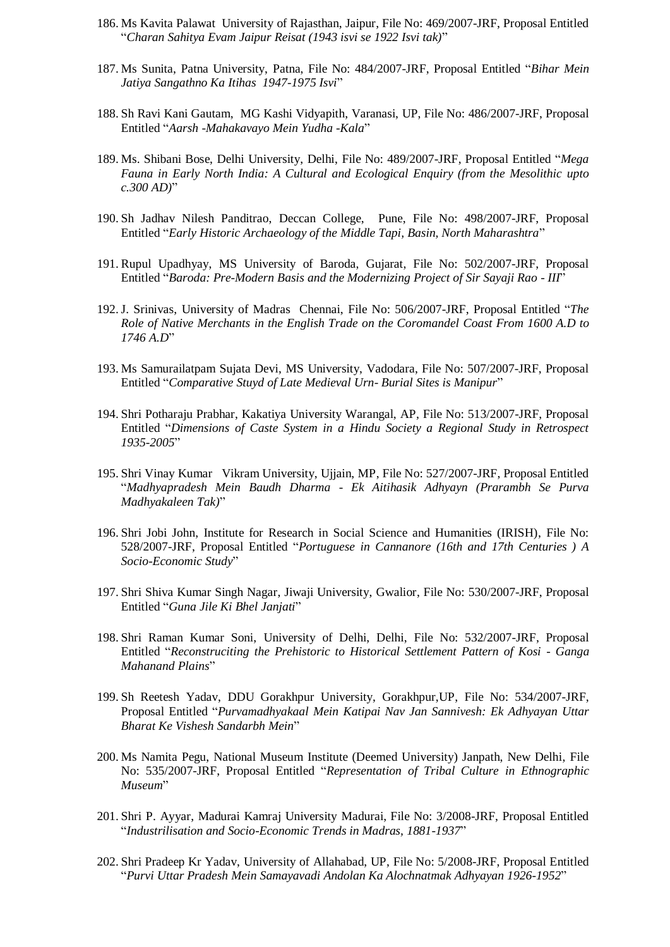- 186. Ms Kavita Palawat University of Rajasthan, Jaipur, File No: 469/2007-JRF, Proposal Entitled "*Charan Sahitya Evam Jaipur Reisat (1943 isvi se 1922 Isvi tak)*"
- 187. Ms Sunita, Patna University, Patna, File No: 484/2007-JRF, Proposal Entitled "*Bihar Mein Jatiya Sangathno Ka Itihas 1947-1975 Isvi*"
- 188. Sh Ravi Kani Gautam, MG Kashi Vidyapith, Varanasi, UP, File No: 486/2007-JRF, Proposal Entitled "*Aarsh -Mahakavayo Mein Yudha -Kala*"
- 189. Ms. Shibani Bose, Delhi University, Delhi, File No: 489/2007-JRF, Proposal Entitled "*Mega Fauna in Early North India: A Cultural and Ecological Enquiry (from the Mesolithic upto c.300 AD)*"
- 190. Sh Jadhav Nilesh Panditrao, Deccan College, Pune, File No: 498/2007-JRF, Proposal Entitled "*Early Historic Archaeology of the Middle Tapi, Basin, North Maharashtra*"
- 191. Rupul Upadhyay, MS University of Baroda, Gujarat, File No: 502/2007-JRF, Proposal Entitled "*Baroda: Pre-Modern Basis and the Modernizing Project of Sir Sayaji Rao - III*"
- 192.J. Srinivas, University of Madras Chennai, File No: 506/2007-JRF, Proposal Entitled "*The Role of Native Merchants in the English Trade on the Coromandel Coast From 1600 A.D to 1746 A.D*"
- 193. Ms Samurailatpam Sujata Devi, MS University, Vadodara, File No: 507/2007-JRF, Proposal Entitled "*Comparative Stuyd of Late Medieval Urn- Burial Sites is Manipur*"
- 194. Shri Potharaju Prabhar, Kakatiya University Warangal, AP, File No: 513/2007-JRF, Proposal Entitled "*Dimensions of Caste System in a Hindu Society a Regional Study in Retrospect 1935-2005*"
- 195. Shri Vinay Kumar Vikram University, Ujjain, MP, File No: 527/2007-JRF, Proposal Entitled "*Madhyapradesh Mein Baudh Dharma - Ek Aitihasik Adhyayn (Prarambh Se Purva Madhyakaleen Tak)*"
- 196. Shri Jobi John, Institute for Research in Social Science and Humanities (IRISH), File No: 528/2007-JRF, Proposal Entitled "*Portuguese in Cannanore (16th and 17th Centuries ) A Socio-Economic Study*"
- 197. Shri Shiva Kumar Singh Nagar, Jiwaji University, Gwalior, File No: 530/2007-JRF, Proposal Entitled "*Guna Jile Ki Bhel Janjati*"
- 198. Shri Raman Kumar Soni, University of Delhi, Delhi, File No: 532/2007-JRF, Proposal Entitled "*Reconstruciting the Prehistoric to Historical Settlement Pattern of Kosi - Ganga Mahanand Plains*"
- 199. Sh Reetesh Yadav, DDU Gorakhpur University, Gorakhpur,UP, File No: 534/2007-JRF, Proposal Entitled "*Purvamadhyakaal Mein Katipai Nav Jan Sannivesh: Ek Adhyayan Uttar Bharat Ke Vishesh Sandarbh Mein*"
- 200. Ms Namita Pegu, National Museum Institute (Deemed University) Janpath, New Delhi, File No: 535/2007-JRF, Proposal Entitled "*Representation of Tribal Culture in Ethnographic Museum*"
- 201. Shri P. Ayyar, Madurai Kamraj University Madurai, File No: 3/2008-JRF, Proposal Entitled "*Industrilisation and Socio-Economic Trends in Madras, 1881-1937*"
- 202. Shri Pradeep Kr Yadav, University of Allahabad, UP, File No: 5/2008-JRF, Proposal Entitled "*Purvi Uttar Pradesh Mein Samayavadi Andolan Ka Alochnatmak Adhyayan 1926-1952*"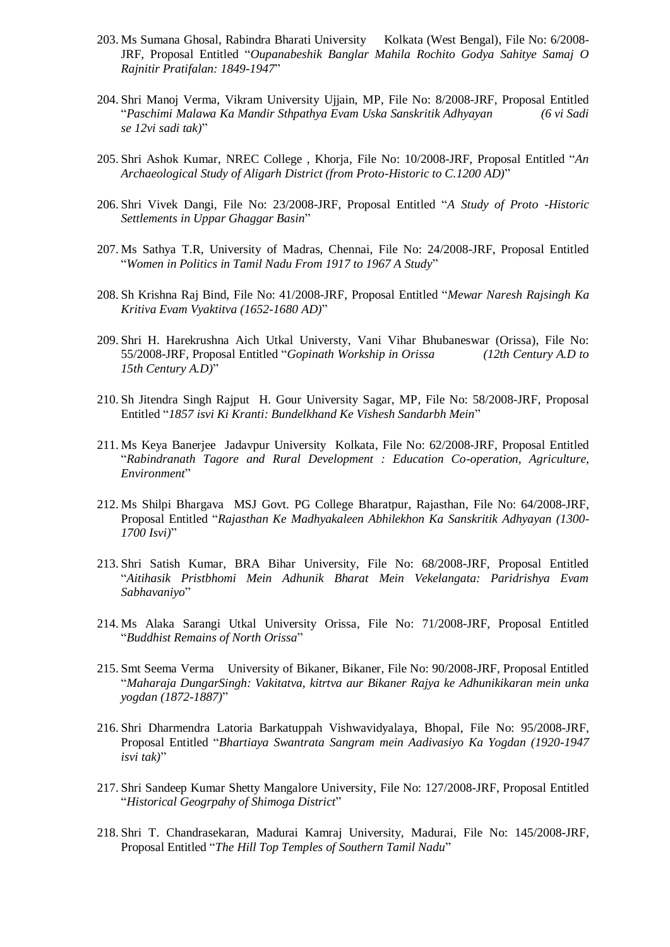- 203. Ms Sumana Ghosal, Rabindra Bharati University Kolkata (West Bengal), File No: 6/2008- JRF, Proposal Entitled "*Oupanabeshik Banglar Mahila Rochito Godya Sahitye Samaj O Rajnitir Pratifalan: 1849-1947*"
- 204. Shri Manoj Verma, Vikram University Ujjain, MP, File No: 8/2008-JRF, Proposal Entitled "*Paschimi Malawa Ka Mandir Sthpathya Evam Uska Sanskritik Adhyayan (6 vi Sadi se 12vi sadi tak)*"
- 205. Shri Ashok Kumar, NREC College , Khorja, File No: 10/2008-JRF, Proposal Entitled "*An Archaeological Study of Aligarh District (from Proto-Historic to C.1200 AD)*"
- 206. Shri Vivek Dangi, File No: 23/2008-JRF, Proposal Entitled "*A Study of Proto -Historic Settlements in Uppar Ghaggar Basin*"
- 207. Ms Sathya T.R, University of Madras, Chennai, File No: 24/2008-JRF, Proposal Entitled "*Women in Politics in Tamil Nadu From 1917 to 1967 A Study*"
- 208. Sh Krishna Raj Bind, File No: 41/2008-JRF, Proposal Entitled "*Mewar Naresh Rajsingh Ka Kritiva Evam Vyaktitva (1652-1680 AD)*"
- 209. Shri H. Harekrushna Aich Utkal Universty, Vani Vihar Bhubaneswar (Orissa), File No: 55/2008-JRF, Proposal Entitled "*Gopinath Workship in Orissa (12th Century A.D to 15th Century A.D)*"
- 210. Sh Jitendra Singh Rajput H. Gour University Sagar, MP, File No: 58/2008-JRF, Proposal Entitled "*1857 isvi Ki Kranti: Bundelkhand Ke Vishesh Sandarbh Mein*"
- 211. Ms Keya Banerjee Jadavpur University Kolkata, File No: 62/2008-JRF, Proposal Entitled "*Rabindranath Tagore and Rural Development : Education Co-operation, Agriculture, Environment*"
- 212. Ms Shilpi Bhargava MSJ Govt. PG College Bharatpur, Rajasthan, File No: 64/2008-JRF, Proposal Entitled "*Rajasthan Ke Madhyakaleen Abhilekhon Ka Sanskritik Adhyayan (1300- 1700 Isvi)*"
- 213. Shri Satish Kumar, BRA Bihar University, File No: 68/2008-JRF, Proposal Entitled "*Aitihasik Pristbhomi Mein Adhunik Bharat Mein Vekelangata: Paridrishya Evam Sabhavaniyo*"
- 214. Ms Alaka Sarangi Utkal University Orissa, File No: 71/2008-JRF, Proposal Entitled "*Buddhist Remains of North Orissa*"
- 215. Smt Seema Verma University of Bikaner, Bikaner, File No: 90/2008-JRF, Proposal Entitled "*Maharaja DungarSingh: Vakitatva, kitrtva aur Bikaner Rajya ke Adhunikikaran mein unka yogdan (1872-1887)*"
- 216. Shri Dharmendra Latoria Barkatuppah Vishwavidyalaya, Bhopal, File No: 95/2008-JRF, Proposal Entitled "*Bhartiaya Swantrata Sangram mein Aadivasiyo Ka Yogdan (1920-1947 isvi tak)*"
- 217. Shri Sandeep Kumar Shetty Mangalore University, File No: 127/2008-JRF, Proposal Entitled "*Historical Geogrpahy of Shimoga District*"
- 218. Shri T. Chandrasekaran, Madurai Kamraj University, Madurai, File No: 145/2008-JRF, Proposal Entitled "*The Hill Top Temples of Southern Tamil Nadu*"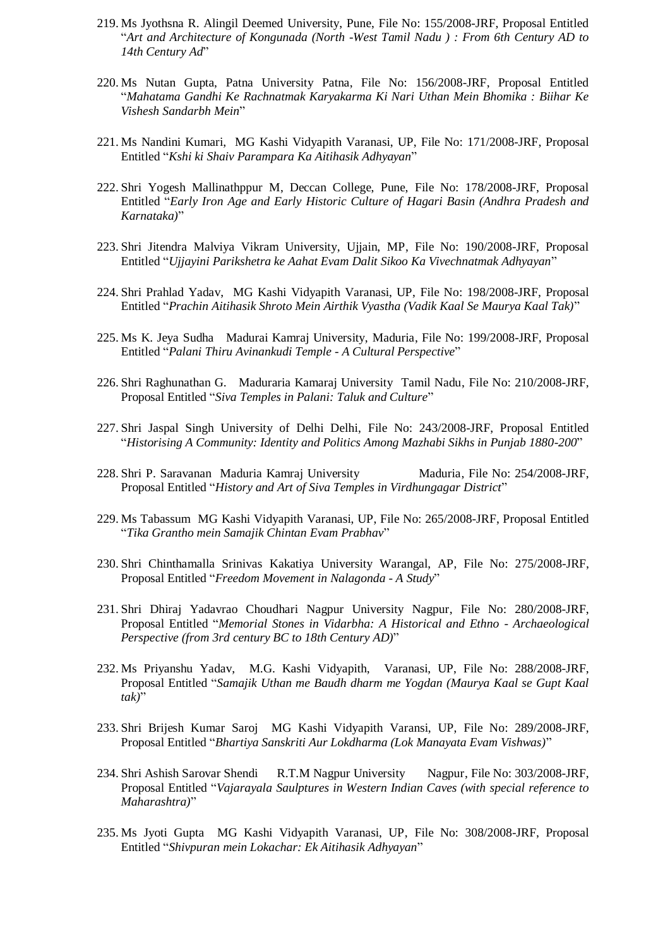- 219. Ms Jyothsna R. Alingil Deemed University, Pune, File No: 155/2008-JRF, Proposal Entitled "*Art and Architecture of Kongunada (North -West Tamil Nadu ) : From 6th Century AD to 14th Century Ad*"
- 220. Ms Nutan Gupta, Patna University Patna, File No: 156/2008-JRF, Proposal Entitled "*Mahatama Gandhi Ke Rachnatmak Karyakarma Ki Nari Uthan Mein Bhomika : Biihar Ke Vishesh Sandarbh Mein*"
- 221. Ms Nandini Kumari, MG Kashi Vidyapith Varanasi, UP, File No: 171/2008-JRF, Proposal Entitled "*Kshi ki Shaiv Parampara Ka Aitihasik Adhyayan*"
- 222. Shri Yogesh Mallinathppur M, Deccan College, Pune, File No: 178/2008-JRF, Proposal Entitled "*Early Iron Age and Early Historic Culture of Hagari Basin (Andhra Pradesh and Karnataka)*"
- 223. Shri Jitendra Malviya Vikram University, Ujjain, MP, File No: 190/2008-JRF, Proposal Entitled "*Ujjayini Parikshetra ke Aahat Evam Dalit Sikoo Ka Vivechnatmak Adhyayan*"
- 224. Shri Prahlad Yadav, MG Kashi Vidyapith Varanasi, UP, File No: 198/2008-JRF, Proposal Entitled "*Prachin Aitihasik Shroto Mein Airthik Vyastha (Vadik Kaal Se Maurya Kaal Tak)*"
- 225. Ms K. Jeya Sudha Madurai Kamraj University, Maduria, File No: 199/2008-JRF, Proposal Entitled "*Palani Thiru Avinankudi Temple - A Cultural Perspective*"
- 226. Shri Raghunathan G. Maduraria Kamaraj University Tamil Nadu, File No: 210/2008-JRF, Proposal Entitled "*Siva Temples in Palani: Taluk and Culture*"
- 227. Shri Jaspal Singh University of Delhi Delhi, File No: 243/2008-JRF, Proposal Entitled "*Historising A Community: Identity and Politics Among Mazhabi Sikhs in Punjab 1880-200*"
- 228. Shri P. Saravanan Maduria Kamraj University Maduria, File No: 254/2008-JRF, Proposal Entitled "*History and Art of Siva Temples in Virdhungagar District*"
- 229. Ms Tabassum MG Kashi Vidyapith Varanasi, UP, File No: 265/2008-JRF, Proposal Entitled "*Tika Grantho mein Samajik Chintan Evam Prabhav*"
- 230. Shri Chinthamalla Srinivas Kakatiya University Warangal, AP, File No: 275/2008-JRF, Proposal Entitled "*Freedom Movement in Nalagonda - A Study*"
- 231. Shri Dhiraj Yadavrao Choudhari Nagpur University Nagpur, File No: 280/2008-JRF, Proposal Entitled "*Memorial Stones in Vidarbha: A Historical and Ethno - Archaeological Perspective (from 3rd century BC to 18th Century AD)*"
- 232. Ms Priyanshu Yadav, M.G. Kashi Vidyapith, Varanasi, UP, File No: 288/2008-JRF, Proposal Entitled "*Samajik Uthan me Baudh dharm me Yogdan (Maurya Kaal se Gupt Kaal tak)*"
- 233. Shri Brijesh Kumar Saroj MG Kashi Vidyapith Varansi, UP, File No: 289/2008-JRF, Proposal Entitled "*Bhartiya Sanskriti Aur Lokdharma (Lok Manayata Evam Vishwas)*"
- 234. Shri Ashish Sarovar Shendi R.T.M Nagpur University Nagpur, File No: 303/2008-JRF, Proposal Entitled "*Vajarayala Saulptures in Western Indian Caves (with special reference to Maharashtra)*"
- 235. Ms Jyoti Gupta MG Kashi Vidyapith Varanasi, UP, File No: 308/2008-JRF, Proposal Entitled "*Shivpuran mein Lokachar: Ek Aitihasik Adhyayan*"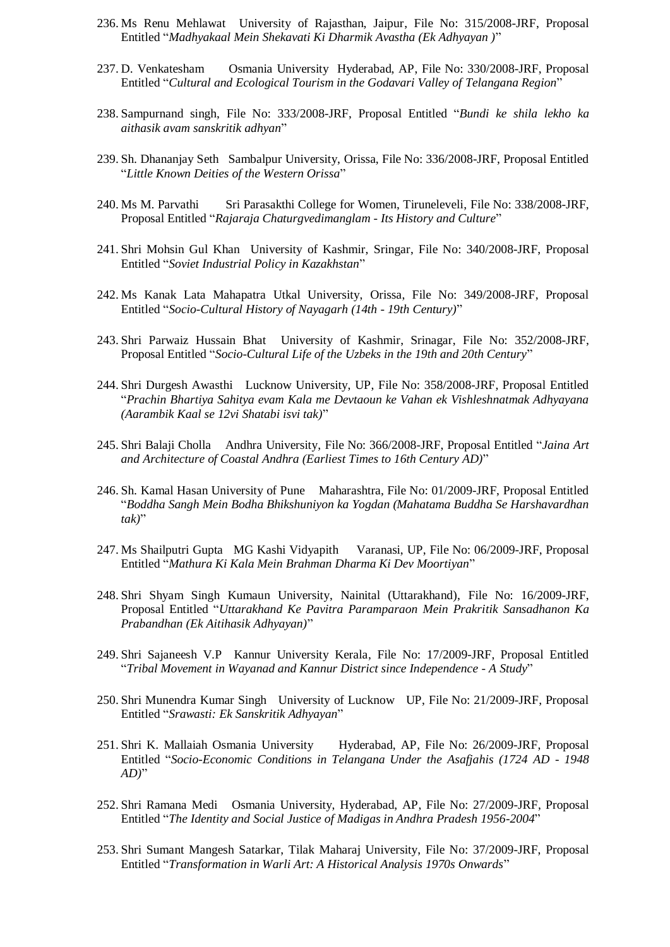- 236. Ms Renu Mehlawat University of Rajasthan, Jaipur, File No: 315/2008-JRF, Proposal Entitled "*Madhyakaal Mein Shekavati Ki Dharmik Avastha (Ek Adhyayan )*"
- 237. D. Venkatesham Osmania University Hyderabad, AP, File No: 330/2008-JRF, Proposal Entitled "*Cultural and Ecological Tourism in the Godavari Valley of Telangana Region*"
- 238. Sampurnand singh, File No: 333/2008-JRF, Proposal Entitled "*Bundi ke shila lekho ka aithasik avam sanskritik adhyan*"
- 239. Sh. Dhananjay Seth Sambalpur University, Orissa, File No: 336/2008-JRF, Proposal Entitled "*Little Known Deities of the Western Orissa*"
- 240. Ms M. Parvathi Sri Parasakthi College for Women, Tiruneleveli, File No: 338/2008-JRF, Proposal Entitled "*Rajaraja Chaturgvedimanglam - Its History and Culture*"
- 241. Shri Mohsin Gul Khan University of Kashmir, Sringar, File No: 340/2008-JRF, Proposal Entitled "*Soviet Industrial Policy in Kazakhstan*"
- 242. Ms Kanak Lata Mahapatra Utkal University, Orissa, File No: 349/2008-JRF, Proposal Entitled "*Socio-Cultural History of Nayagarh (14th - 19th Century)*"
- 243. Shri Parwaiz Hussain Bhat University of Kashmir, Srinagar, File No: 352/2008-JRF, Proposal Entitled "*Socio-Cultural Life of the Uzbeks in the 19th and 20th Century*"
- 244. Shri Durgesh Awasthi Lucknow University, UP, File No: 358/2008-JRF, Proposal Entitled "*Prachin Bhartiya Sahitya evam Kala me Devtaoun ke Vahan ek Vishleshnatmak Adhyayana (Aarambik Kaal se 12vi Shatabi isvi tak)*"
- 245. Shri Balaji Cholla Andhra University, File No: 366/2008-JRF, Proposal Entitled "*Jaina Art and Architecture of Coastal Andhra (Earliest Times to 16th Century AD)*"
- 246. Sh. Kamal Hasan University of Pune Maharashtra, File No: 01/2009-JRF, Proposal Entitled "*Boddha Sangh Mein Bodha Bhikshuniyon ka Yogdan (Mahatama Buddha Se Harshavardhan tak)*"
- 247. Ms Shailputri Gupta MG Kashi Vidyapith Varanasi, UP, File No: 06/2009-JRF, Proposal Entitled "*Mathura Ki Kala Mein Brahman Dharma Ki Dev Moortiyan*"
- 248. Shri Shyam Singh Kumaun University, Nainital (Uttarakhand), File No: 16/2009-JRF, Proposal Entitled "*Uttarakhand Ke Pavitra Paramparaon Mein Prakritik Sansadhanon Ka Prabandhan (Ek Aitihasik Adhyayan)*"
- 249. Shri Sajaneesh V.P Kannur University Kerala, File No: 17/2009-JRF, Proposal Entitled "*Tribal Movement in Wayanad and Kannur District since Independence - A Study*"
- 250. Shri Munendra Kumar Singh University of Lucknow UP, File No: 21/2009-JRF, Proposal Entitled "*Srawasti: Ek Sanskritik Adhyayan*"
- 251. Shri K. Mallaiah Osmania University Hyderabad, AP, File No: 26/2009-JRF, Proposal Entitled "*Socio-Economic Conditions in Telangana Under the Asafjahis (1724 AD - 1948 AD)*"
- 252. Shri Ramana Medi Osmania University, Hyderabad, AP, File No: 27/2009-JRF, Proposal Entitled "*The Identity and Social Justice of Madigas in Andhra Pradesh 1956-2004*"
- 253. Shri Sumant Mangesh Satarkar, Tilak Maharaj University, File No: 37/2009-JRF, Proposal Entitled "*Transformation in Warli Art: A Historical Analysis 1970s Onwards*"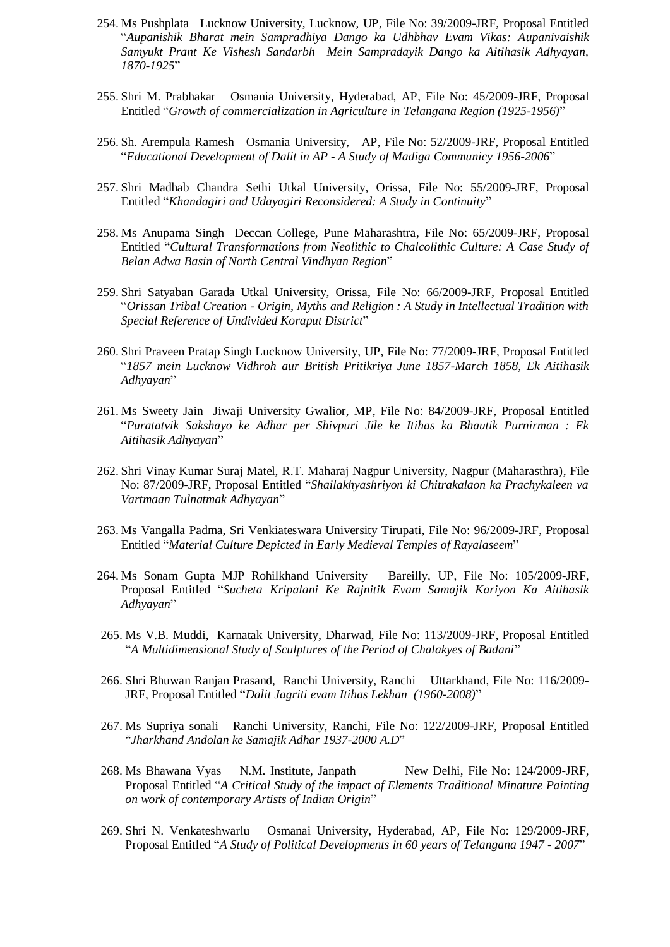- 254. Ms Pushplata Lucknow University, Lucknow, UP, File No: 39/2009-JRF, Proposal Entitled "*Aupanishik Bharat mein Sampradhiya Dango ka Udhbhav Evam Vikas: Aupanivaishik Samyukt Prant Ke Vishesh Sandarbh Mein Sampradayik Dango ka Aitihasik Adhyayan, 1870-1925*"
- 255. Shri M. Prabhakar Osmania University, Hyderabad, AP, File No: 45/2009-JRF, Proposal Entitled "*Growth of commercialization in Agriculture in Telangana Region (1925-1956)*"
- 256. Sh. Arempula Ramesh Osmania University, AP, File No: 52/2009-JRF, Proposal Entitled "*Educational Development of Dalit in AP - A Study of Madiga Communicy 1956-2006*"
- 257. Shri Madhab Chandra Sethi Utkal University, Orissa, File No: 55/2009-JRF, Proposal Entitled "*Khandagiri and Udayagiri Reconsidered: A Study in Continuity*"
- 258. Ms Anupama Singh Deccan College, Pune Maharashtra, File No: 65/2009-JRF, Proposal Entitled "*Cultural Transformations from Neolithic to Chalcolithic Culture: A Case Study of Belan Adwa Basin of North Central Vindhyan Region*"
- 259. Shri Satyaban Garada Utkal University, Orissa, File No: 66/2009-JRF, Proposal Entitled "*Orissan Tribal Creation - Origin, Myths and Religion : A Study in Intellectual Tradition with Special Reference of Undivided Koraput District*"
- 260. Shri Praveen Pratap Singh Lucknow University, UP, File No: 77/2009-JRF, Proposal Entitled "*1857 mein Lucknow Vidhroh aur British Pritikriya June 1857-March 1858, Ek Aitihasik Adhyayan*"
- 261. Ms Sweety Jain Jiwaji University Gwalior, MP, File No: 84/2009-JRF, Proposal Entitled "*Puratatvik Sakshayo ke Adhar per Shivpuri Jile ke Itihas ka Bhautik Purnirman : Ek Aitihasik Adhyayan*"
- 262. Shri Vinay Kumar Suraj Matel, R.T. Maharaj Nagpur University, Nagpur (Maharasthra), File No: 87/2009-JRF, Proposal Entitled "*Shailakhyashriyon ki Chitrakalaon ka Prachykaleen va Vartmaan Tulnatmak Adhyayan*"
- 263. Ms Vangalla Padma, Sri Venkiateswara University Tirupati, File No: 96/2009-JRF, Proposal Entitled "*Material Culture Depicted in Early Medieval Temples of Rayalaseem*"
- 264. Ms Sonam Gupta MJP Rohilkhand University Bareilly, UP, File No: 105/2009-JRF, Proposal Entitled "*Sucheta Kripalani Ke Rajnitik Evam Samajik Kariyon Ka Aitihasik Adhyayan*"
- 265. Ms V.B. Muddi, Karnatak University, Dharwad, File No: 113/2009-JRF, Proposal Entitled "*A Multidimensional Study of Sculptures of the Period of Chalakyes of Badani*"
- 266. Shri Bhuwan Ranjan Prasand, Ranchi University, Ranchi Uttarkhand, File No: 116/2009- JRF, Proposal Entitled "*Dalit Jagriti evam Itihas Lekhan (1960-2008)*"
- 267. Ms Supriya sonali Ranchi University, Ranchi, File No: 122/2009-JRF, Proposal Entitled "*Jharkhand Andolan ke Samajik Adhar 1937-2000 A.D*"
- 268. Ms Bhawana Vyas N.M. Institute, Janpath New Delhi, File No: 124/2009-JRF, Proposal Entitled "*A Critical Study of the impact of Elements Traditional Minature Painting on work of contemporary Artists of Indian Origin*"
- 269. Shri N. Venkateshwarlu Osmanai University, Hyderabad, AP, File No: 129/2009-JRF, Proposal Entitled "*A Study of Political Developments in 60 years of Telangana 1947 - 2007*"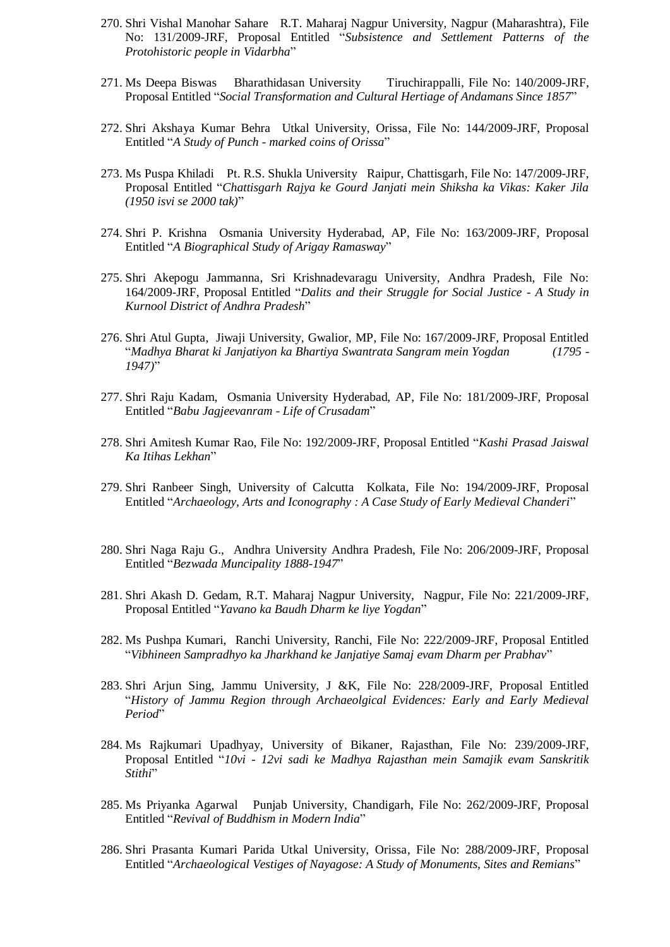- 270. Shri Vishal Manohar Sahare R.T. Maharaj Nagpur University, Nagpur (Maharashtra), File No: 131/2009-JRF, Proposal Entitled "*Subsistence and Settlement Patterns of the Protohistoric people in Vidarbha*"
- 271. Ms Deepa Biswas Bharathidasan University Tiruchirappalli, File No: 140/2009-JRF, Proposal Entitled "*Social Transformation and Cultural Hertiage of Andamans Since 1857*"
- 272. Shri Akshaya Kumar Behra Utkal University, Orissa, File No: 144/2009-JRF, Proposal Entitled "*A Study of Punch - marked coins of Orissa*"
- 273. Ms Puspa Khiladi Pt. R.S. Shukla University Raipur, Chattisgarh, File No: 147/2009-JRF, Proposal Entitled "*Chattisgarh Rajya ke Gourd Janjati mein Shiksha ka Vikas: Kaker Jila (1950 isvi se 2000 tak)*"
- 274. Shri P. Krishna Osmania University Hyderabad, AP, File No: 163/2009-JRF, Proposal Entitled "*A Biographical Study of Arigay Ramasway*"
- 275. Shri Akepogu Jammanna, Sri Krishnadevaragu University, Andhra Pradesh, File No: 164/2009-JRF, Proposal Entitled "*Dalits and their Struggle for Social Justice - A Study in Kurnool District of Andhra Pradesh*"
- 276. Shri Atul Gupta, Jiwaji University, Gwalior, MP, File No: 167/2009-JRF, Proposal Entitled "*Madhya Bharat ki Janjatiyon ka Bhartiya Swantrata Sangram mein Yogdan (1795 - 1947)*"
- 277. Shri Raju Kadam, Osmania University Hyderabad, AP, File No: 181/2009-JRF, Proposal Entitled "*Babu Jagjeevanram - Life of Crusadam*"
- 278. Shri Amitesh Kumar Rao, File No: 192/2009-JRF, Proposal Entitled "*Kashi Prasad Jaiswal Ka Itihas Lekhan*"
- 279. Shri Ranbeer Singh, University of Calcutta Kolkata, File No: 194/2009-JRF, Proposal Entitled "*Archaeology, Arts and Iconography : A Case Study of Early Medieval Chanderi*"
- 280. Shri Naga Raju G., Andhra University Andhra Pradesh, File No: 206/2009-JRF, Proposal Entitled "*Bezwada Muncipality 1888-1947*"
- 281. Shri Akash D. Gedam, R.T. Maharaj Nagpur University, Nagpur, File No: 221/2009-JRF, Proposal Entitled "*Yavano ka Baudh Dharm ke liye Yogdan*"
- 282. Ms Pushpa Kumari, Ranchi University, Ranchi, File No: 222/2009-JRF, Proposal Entitled "*Vibhineen Sampradhyo ka Jharkhand ke Janjatiye Samaj evam Dharm per Prabhav*"
- 283. Shri Arjun Sing, Jammu University, J &K, File No: 228/2009-JRF, Proposal Entitled "*History of Jammu Region through Archaeolgical Evidences: Early and Early Medieval Period*"
- 284. Ms Rajkumari Upadhyay, University of Bikaner, Rajasthan, File No: 239/2009-JRF, Proposal Entitled "*10vi - 12vi sadi ke Madhya Rajasthan mein Samajik evam Sanskritik Stithi*"
- 285. Ms Priyanka Agarwal Punjab University, Chandigarh, File No: 262/2009-JRF, Proposal Entitled "*Revival of Buddhism in Modern India*"
- 286. Shri Prasanta Kumari Parida Utkal University, Orissa, File No: 288/2009-JRF, Proposal Entitled "*Archaeological Vestiges of Nayagose: A Study of Monuments, Sites and Remians*"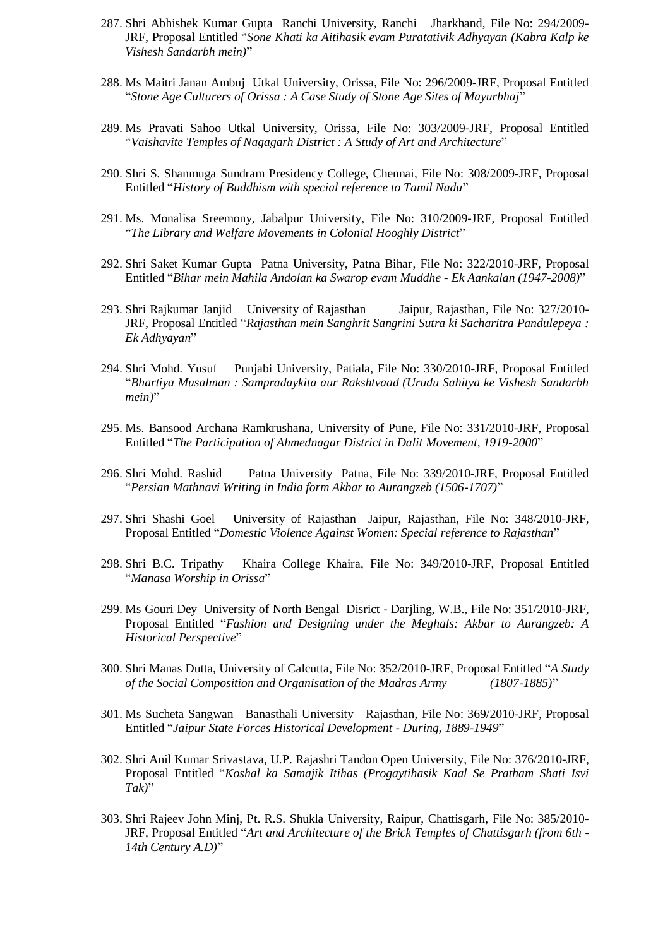- 287. Shri Abhishek Kumar Gupta Ranchi University, Ranchi Jharkhand, File No: 294/2009- JRF, Proposal Entitled "*Sone Khati ka Aitihasik evam Puratativik Adhyayan (Kabra Kalp ke Vishesh Sandarbh mein)*"
- 288. Ms Maitri Janan Ambuj Utkal University, Orissa, File No: 296/2009-JRF, Proposal Entitled "*Stone Age Culturers of Orissa : A Case Study of Stone Age Sites of Mayurbhaj*"
- 289. Ms Pravati Sahoo Utkal University, Orissa, File No: 303/2009-JRF, Proposal Entitled "*Vaishavite Temples of Nagagarh District : A Study of Art and Architecture*"
- 290. Shri S. Shanmuga Sundram Presidency College, Chennai, File No: 308/2009-JRF, Proposal Entitled "*History of Buddhism with special reference to Tamil Nadu*"
- 291. Ms. Monalisa Sreemony, Jabalpur University, File No: 310/2009-JRF, Proposal Entitled "*The Library and Welfare Movements in Colonial Hooghly District*"
- 292. Shri Saket Kumar Gupta Patna University, Patna Bihar, File No: 322/2010-JRF, Proposal Entitled "*Bihar mein Mahila Andolan ka Swarop evam Muddhe - Ek Aankalan (1947-2008)*"
- 293. Shri Rajkumar Janjid University of Rajasthan Jaipur, Rajasthan, File No: 327/2010- JRF, Proposal Entitled "*Rajasthan mein Sanghrit Sangrini Sutra ki Sacharitra Pandulepeya : Ek Adhyayan*"
- 294. Shri Mohd. Yusuf Punjabi University, Patiala, File No: 330/2010-JRF, Proposal Entitled "*Bhartiya Musalman : Sampradaykita aur Rakshtvaad (Urudu Sahitya ke Vishesh Sandarbh mein)*"
- 295. Ms. Bansood Archana Ramkrushana, University of Pune, File No: 331/2010-JRF, Proposal Entitled "*The Participation of Ahmednagar District in Dalit Movement, 1919-2000*"
- 296. Shri Mohd. Rashid Patna University Patna, File No: 339/2010-JRF, Proposal Entitled "*Persian Mathnavi Writing in India form Akbar to Aurangzeb (1506-1707)*"
- 297. Shri Shashi Goel University of Rajasthan Jaipur, Rajasthan, File No: 348/2010-JRF, Proposal Entitled "*Domestic Violence Against Women: Special reference to Rajasthan*"
- 298. Shri B.C. Tripathy Khaira College Khaira, File No: 349/2010-JRF, Proposal Entitled "*Manasa Worship in Orissa*"
- 299. Ms Gouri Dey University of North Bengal Disrict Darjling, W.B., File No: 351/2010-JRF, Proposal Entitled "*Fashion and Designing under the Meghals: Akbar to Aurangzeb: A Historical Perspective*"
- 300. Shri Manas Dutta, University of Calcutta, File No: 352/2010-JRF, Proposal Entitled "*A Study of the Social Composition and Organisation of the Madras Army (1807-1885)*"
- 301. Ms Sucheta Sangwan Banasthali University Rajasthan, File No: 369/2010-JRF, Proposal Entitled "*Jaipur State Forces Historical Development - During, 1889-1949*"
- 302. Shri Anil Kumar Srivastava, U.P. Rajashri Tandon Open University, File No: 376/2010-JRF, Proposal Entitled "*Koshal ka Samajik Itihas (Progaytihasik Kaal Se Pratham Shati Isvi Tak)*"
- 303. Shri Rajeev John Minj, Pt. R.S. Shukla University, Raipur, Chattisgarh, File No: 385/2010- JRF, Proposal Entitled "*Art and Architecture of the Brick Temples of Chattisgarh (from 6th - 14th Century A.D)*"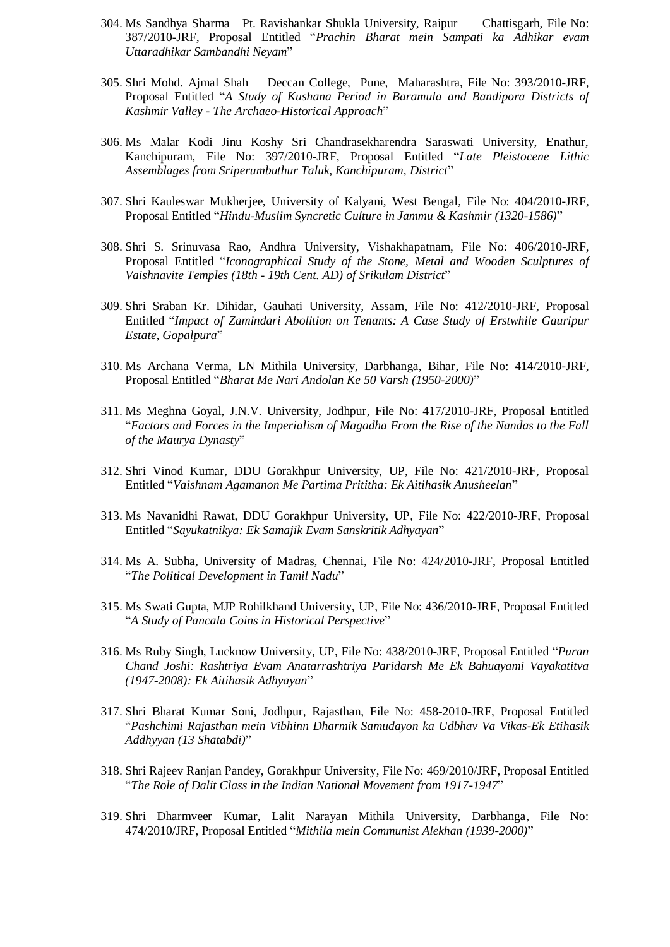- 304. Ms Sandhya Sharma Pt. Ravishankar Shukla University, Raipur Chattisgarh, File No: 387/2010-JRF, Proposal Entitled "*Prachin Bharat mein Sampati ka Adhikar evam Uttaradhikar Sambandhi Neyam*"
- 305. Shri Mohd. Ajmal Shah Deccan College, Pune, Maharashtra, File No: 393/2010-JRF, Proposal Entitled "*A Study of Kushana Period in Baramula and Bandipora Districts of Kashmir Valley - The Archaeo-Historical Approach*"
- 306. Ms Malar Kodi Jinu Koshy Sri Chandrasekharendra Saraswati University, Enathur, Kanchipuram, File No: 397/2010-JRF, Proposal Entitled "*Late Pleistocene Lithic Assemblages from Sriperumbuthur Taluk, Kanchipuram, District*"
- 307. Shri Kauleswar Mukherjee, University of Kalyani, West Bengal, File No: 404/2010-JRF, Proposal Entitled "*Hindu-Muslim Syncretic Culture in Jammu & Kashmir (1320-1586)*"
- 308. Shri S. Srinuvasa Rao, Andhra University, Vishakhapatnam, File No: 406/2010-JRF, Proposal Entitled "*Iconographical Study of the Stone, Metal and Wooden Sculptures of Vaishnavite Temples (18th - 19th Cent. AD) of Srikulam District*"
- 309. Shri Sraban Kr. Dihidar, Gauhati University, Assam, File No: 412/2010-JRF, Proposal Entitled "*Impact of Zamindari Abolition on Tenants: A Case Study of Erstwhile Gauripur Estate, Gopalpura*"
- 310. Ms Archana Verma, LN Mithila University, Darbhanga, Bihar, File No: 414/2010-JRF, Proposal Entitled "*Bharat Me Nari Andolan Ke 50 Varsh (1950-2000)*"
- 311. Ms Meghna Goyal, J.N.V. University, Jodhpur, File No: 417/2010-JRF, Proposal Entitled "*Factors and Forces in the Imperialism of Magadha From the Rise of the Nandas to the Fall of the Maurya Dynasty*"
- 312. Shri Vinod Kumar, DDU Gorakhpur University, UP, File No: 421/2010-JRF, Proposal Entitled "*Vaishnam Agamanon Me Partima Prititha: Ek Aitihasik Anusheelan*"
- 313. Ms Navanidhi Rawat, DDU Gorakhpur University, UP, File No: 422/2010-JRF, Proposal Entitled "*Sayukatnikya: Ek Samajik Evam Sanskritik Adhyayan*"
- 314. Ms A. Subha, University of Madras, Chennai, File No: 424/2010-JRF, Proposal Entitled "*The Political Development in Tamil Nadu*"
- 315. Ms Swati Gupta, MJP Rohilkhand University, UP, File No: 436/2010-JRF, Proposal Entitled "*A Study of Pancala Coins in Historical Perspective*"
- 316. Ms Ruby Singh, Lucknow University, UP, File No: 438/2010-JRF, Proposal Entitled "*Puran Chand Joshi: Rashtriya Evam Anatarrashtriya Paridarsh Me Ek Bahuayami Vayakatitva (1947-2008): Ek Aitihasik Adhyayan*"
- 317. Shri Bharat Kumar Soni, Jodhpur, Rajasthan, File No: 458-2010-JRF, Proposal Entitled "*Pashchimi Rajasthan mein Vibhinn Dharmik Samudayon ka Udbhav Va Vikas-Ek Etihasik Addhyyan (13 Shatabdi)*"
- 318. Shri Rajeev Ranjan Pandey, Gorakhpur University, File No: 469/2010/JRF, Proposal Entitled "*The Role of Dalit Class in the Indian National Movement from 1917-1947*"
- 319. Shri Dharmveer Kumar, Lalit Narayan Mithila University, Darbhanga, File No: 474/2010/JRF, Proposal Entitled "*Mithila mein Communist Alekhan (1939-2000)*"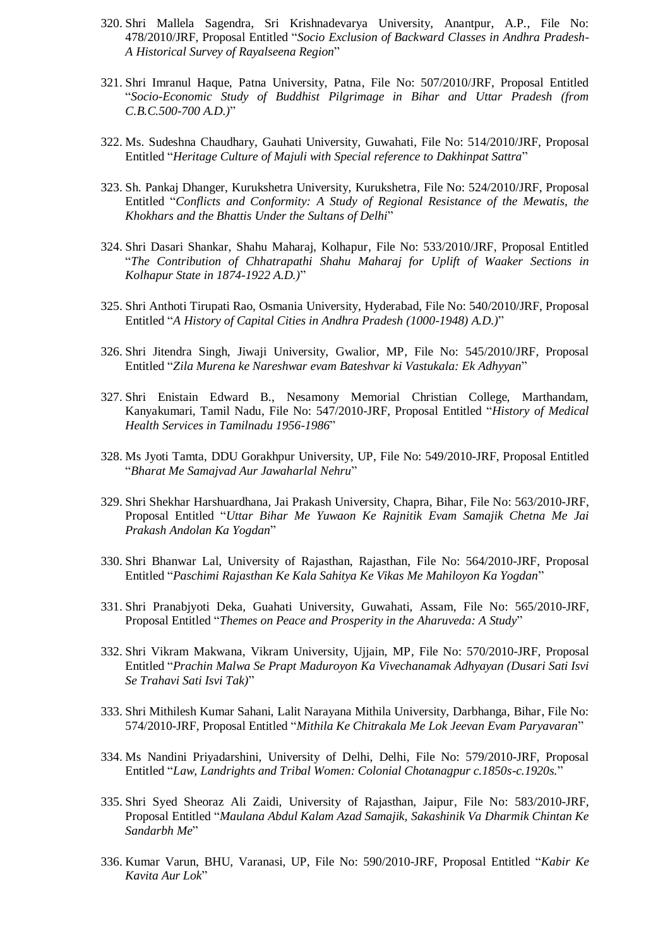- 320. Shri Mallela Sagendra, Sri Krishnadevarya University, Anantpur, A.P., File No: 478/2010/JRF, Proposal Entitled "*Socio Exclusion of Backward Classes in Andhra Pradesh-A Historical Survey of Rayalseena Region*"
- 321. Shri Imranul Haque, Patna University, Patna, File No: 507/2010/JRF, Proposal Entitled "*Socio-Economic Study of Buddhist Pilgrimage in Bihar and Uttar Pradesh (from C.B.C.500-700 A.D.)*"
- 322. Ms. Sudeshna Chaudhary, Gauhati University, Guwahati, File No: 514/2010/JRF, Proposal Entitled "*Heritage Culture of Majuli with Special reference to Dakhinpat Sattra*"
- 323. Sh. Pankaj Dhanger, Kurukshetra University, Kurukshetra, File No: 524/2010/JRF, Proposal Entitled "*Conflicts and Conformity: A Study of Regional Resistance of the Mewatis, the Khokhars and the Bhattis Under the Sultans of Delhi*"
- 324. Shri Dasari Shankar, Shahu Maharaj, Kolhapur, File No: 533/2010/JRF, Proposal Entitled "*The Contribution of Chhatrapathi Shahu Maharaj for Uplift of Waaker Sections in Kolhapur State in 1874-1922 A.D.)*"
- 325. Shri Anthoti Tirupati Rao, Osmania University, Hyderabad, File No: 540/2010/JRF, Proposal Entitled "*A History of Capital Cities in Andhra Pradesh (1000-1948) A.D.)*"
- 326. Shri Jitendra Singh, Jiwaji University, Gwalior, MP, File No: 545/2010/JRF, Proposal Entitled "*Zila Murena ke Nareshwar evam Bateshvar ki Vastukala: Ek Adhyyan*"
- 327. Shri Enistain Edward B., Nesamony Memorial Christian College, Marthandam, Kanyakumari, Tamil Nadu, File No: 547/2010-JRF, Proposal Entitled "*History of Medical Health Services in Tamilnadu 1956-1986*"
- 328. Ms Jyoti Tamta, DDU Gorakhpur University, UP, File No: 549/2010-JRF, Proposal Entitled "*Bharat Me Samajvad Aur Jawaharlal Nehru*"
- 329. Shri Shekhar Harshuardhana, Jai Prakash University, Chapra, Bihar, File No: 563/2010-JRF, Proposal Entitled "*Uttar Bihar Me Yuwaon Ke Rajnitik Evam Samajik Chetna Me Jai Prakash Andolan Ka Yogdan*"
- 330. Shri Bhanwar Lal, University of Rajasthan, Rajasthan, File No: 564/2010-JRF, Proposal Entitled "*Paschimi Rajasthan Ke Kala Sahitya Ke Vikas Me Mahiloyon Ka Yogdan*"
- 331. Shri Pranabjyoti Deka, Guahati University, Guwahati, Assam, File No: 565/2010-JRF, Proposal Entitled "*Themes on Peace and Prosperity in the Aharuveda: A Study*"
- 332. Shri Vikram Makwana, Vikram University, Ujjain, MP, File No: 570/2010-JRF, Proposal Entitled "*Prachin Malwa Se Prapt Maduroyon Ka Vivechanamak Adhyayan (Dusari Sati Isvi Se Trahavi Sati Isvi Tak)*"
- 333. Shri Mithilesh Kumar Sahani, Lalit Narayana Mithila University, Darbhanga, Bihar, File No: 574/2010-JRF, Proposal Entitled "*Mithila Ke Chitrakala Me Lok Jeevan Evam Paryavaran*"
- 334. Ms Nandini Priyadarshini, University of Delhi, Delhi, File No: 579/2010-JRF, Proposal Entitled "*Law, Landrights and Tribal Women: Colonial Chotanagpur c.1850s-c.1920s.*"
- 335. Shri Syed Sheoraz Ali Zaidi, University of Rajasthan, Jaipur, File No: 583/2010-JRF, Proposal Entitled "*Maulana Abdul Kalam Azad Samajik, Sakashinik Va Dharmik Chintan Ke Sandarbh Me*"
- 336. Kumar Varun, BHU, Varanasi, UP, File No: 590/2010-JRF, Proposal Entitled "*Kabir Ke Kavita Aur Lok*"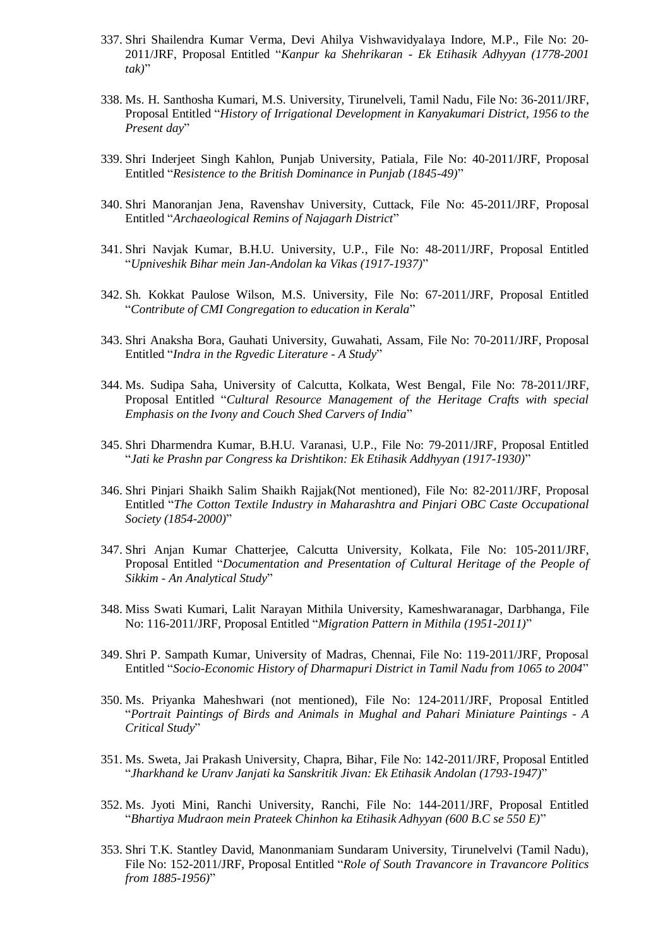- 337. Shri Shailendra Kumar Verma, Devi Ahilya Vishwavidyalaya Indore, M.P., File No: 20- 2011/JRF, Proposal Entitled "*Kanpur ka Shehrikaran - Ek Etihasik Adhyyan (1778-2001 tak)*"
- 338. Ms. H. Santhosha Kumari, M.S. University, Tirunelveli, Tamil Nadu, File No: 36-2011/JRF, Proposal Entitled "*History of Irrigational Development in Kanyakumari District, 1956 to the Present day*"
- 339. Shri Inderjeet Singh Kahlon, Punjab University, Patiala, File No: 40-2011/JRF, Proposal Entitled "*Resistence to the British Dominance in Punjab (1845-49)*"
- 340. Shri Manoranjan Jena, Ravenshav University, Cuttack, File No: 45-2011/JRF, Proposal Entitled "*Archaeological Remins of Najagarh District*"
- 341. Shri Navjak Kumar, B.H.U. University, U.P., File No: 48-2011/JRF, Proposal Entitled "*Upniveshik Bihar mein Jan-Andolan ka Vikas (1917-1937)*"
- 342. Sh. Kokkat Paulose Wilson, M.S. University, File No: 67-2011/JRF, Proposal Entitled "*Contribute of CMI Congregation to education in Kerala*"
- 343. Shri Anaksha Bora, Gauhati University, Guwahati, Assam, File No: 70-2011/JRF, Proposal Entitled "*Indra in the Rgvedic Literature - A Study*"
- 344. Ms. Sudipa Saha, University of Calcutta, Kolkata, West Bengal, File No: 78-2011/JRF, Proposal Entitled "*Cultural Resource Management of the Heritage Crafts with special Emphasis on the Ivony and Couch Shed Carvers of India*"
- 345. Shri Dharmendra Kumar, B.H.U. Varanasi, U.P., File No: 79-2011/JRF, Proposal Entitled "*Jati ke Prashn par Congress ka Drishtikon: Ek Etihasik Addhyyan (1917-1930)*"
- 346. Shri Pinjari Shaikh Salim Shaikh Rajjak(Not mentioned), File No: 82-2011/JRF, Proposal Entitled "*The Cotton Textile Industry in Maharashtra and Pinjari OBC Caste Occupational Society (1854-2000)*"
- 347. Shri Anjan Kumar Chatterjee, Calcutta University, Kolkata, File No: 105-2011/JRF, Proposal Entitled "*Documentation and Presentation of Cultural Heritage of the People of Sikkim - An Analytical Study*"
- 348. Miss Swati Kumari, Lalit Narayan Mithila University, Kameshwaranagar, Darbhanga, File No: 116-2011/JRF, Proposal Entitled "*Migration Pattern in Mithila (1951-2011)*"
- 349. Shri P. Sampath Kumar, University of Madras, Chennai, File No: 119-2011/JRF, Proposal Entitled "*Socio-Economic History of Dharmapuri District in Tamil Nadu from 1065 to 2004*"
- 350. Ms. Priyanka Maheshwari (not mentioned), File No: 124-2011/JRF, Proposal Entitled "*Portrait Paintings of Birds and Animals in Mughal and Pahari Miniature Paintings - A Critical Study*"
- 351. Ms. Sweta, Jai Prakash University, Chapra, Bihar, File No: 142-2011/JRF, Proposal Entitled "*Jharkhand ke Uranv Janjati ka Sanskritik Jivan: Ek Etihasik Andolan (1793-1947)*"
- 352. Ms. Jyoti Mini, Ranchi University, Ranchi, File No: 144-2011/JRF, Proposal Entitled "*Bhartiya Mudraon mein Prateek Chinhon ka Etihasik Adhyyan (600 B.C se 550 E)*"
- 353. Shri T.K. Stantley David, Manonmaniam Sundaram University, Tirunelvelvi (Tamil Nadu), File No: 152-2011/JRF, Proposal Entitled "*Role of South Travancore in Travancore Politics from 1885-1956)*"